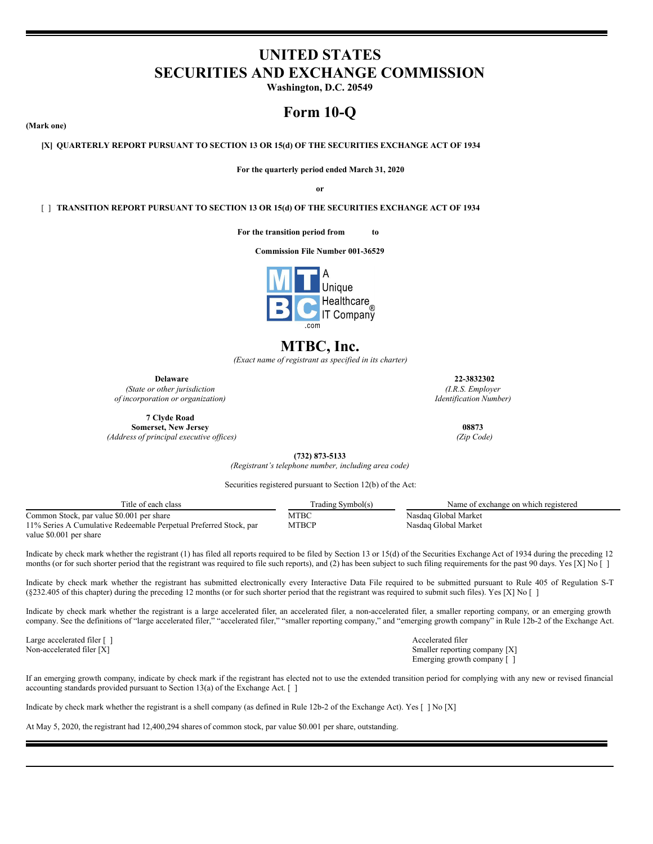# **UNITED STATES SECURITIES AND EXCHANGE COMMISSION**

**Washington, D.C. 20549**

# **Form 10-Q**

**(Mark one)**

**[X] QUARTERLY REPORT PURSUANT TO SECTION 13 OR 15(d) OF THE SECURITIES EXCHANGE ACT OF 1934**

**For the quarterly period ended March 31, 2020**

**or**

[ ] **TRANSITION REPORT PURSUANT TO SECTION 13 OR 15(d) OF THE SECURITIES EXCHANGE ACT OF 1934**

**For the transition period from to**

**Commission File Number 001-36529**



# **MTBC, Inc.**

*(Exact name of registrant as specified in its charter)*

**Delaware 22-3832302**

*(State or other jurisdiction of incorporation or organization)*

**7 Clyde Road Somerset, New Jersey 08873** *(Address of principal executive of ices) (Zip Code)*

*(I.R.S. Employer Identification Number)*

**(732) 873-5133** *(Registrant's telephone number, including area code)*

Securities registered pursuant to Section 12(b) of the Act:

| Title of each class                                               | Trading Symbol(s) | Name of exchange on which registered |
|-------------------------------------------------------------------|-------------------|--------------------------------------|
| Common Stock, par value \$0.001 per share                         | МТВС              | Nasdag Global Market                 |
| 11% Series A Cumulative Redeemable Perpetual Preferred Stock, par | МТВСР             | Nasdag Global Market                 |
| value \$0.001 per share                                           |                   |                                      |

Indicate by check mark whether the registrant (1) has filed all reports required to be filed by Section 13 or 15(d) of the Securities Exchange Act of 1934 during the preceding 12 months (or for such shorter period that the registrant was required to file such reports), and (2) has been subject to such filing requirements for the past 90 days. Yes [X] No []

Indicate by check mark whether the registrant has submitted electronically every Interactive Data File required to be submitted pursuant to Rule 405 of Regulation S-T (§232.405 of this chapter) during the preceding 12 months (or for such shorter period that the registrant was required to submit such files). Yes [X] No [ ]

Indicate by check mark whether the registrant is a large accelerated filer, an accelerated filer, a non-accelerated filer, a smaller reporting company, or an emerging growth company. See the definitions of "large accelerated filer," "accelerated filer," "smaller reporting company," and "emerging growth company" in Rule 12b-2 of the Exchange Act.

Large accelerated filer [ ] Accelerated filer [ ] Accelerated filer accelerated filer accelerated filer accelerated filer accelerated filer systems of the system of the system of the system of the system of the system of t

Smaller reporting company [X] Emerging growth company [ ]

If an emerging growth company, indicate by check mark if the registrant has elected not to use the extended transition period for complying with any new or revised financial accounting standards provided pursuant to Section 13(a) of the Exchange Act.  $\lceil \ \rceil$ 

Indicate by check mark whether the registrant is a shell company (as defined in Rule 12b-2 of the Exchange Act). Yes [ ] No [X]

At May 5, 2020, the registrant had 12,400,294 shares of common stock, par value \$0.001 per share, outstanding.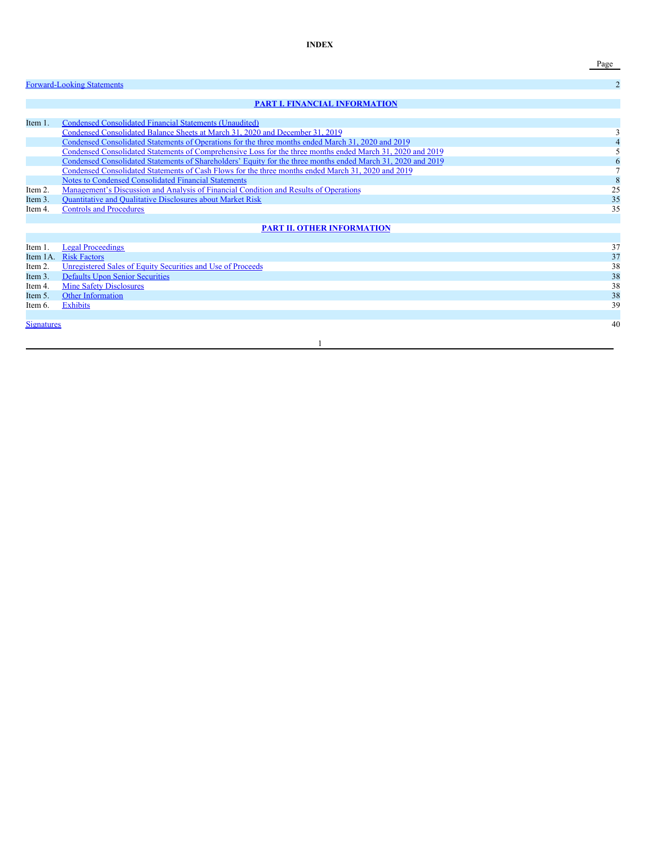**INDEX**

Page

|                   | <b>Forward-Looking Statements</b>                                                                            | $\overline{2}$ |
|-------------------|--------------------------------------------------------------------------------------------------------------|----------------|
|                   | <b>PART I. FINANCIAL INFORMATION</b>                                                                         |                |
|                   |                                                                                                              |                |
| Item 1.           | Condensed Consolidated Financial Statements (Unaudited)                                                      |                |
|                   | Condensed Consolidated Balance Sheets at March 31, 2020 and December 31, 2019                                |                |
|                   | Condensed Consolidated Statements of Operations for the three months ended March 31, 2020 and 2019           |                |
|                   | Condensed Consolidated Statements of Comprehensive Loss for the three months ended March 31, 2020 and 2019   |                |
|                   | Condensed Consolidated Statements of Shareholders' Equity for the three months ended March 31, 2020 and 2019 | 6              |
|                   | Condensed Consolidated Statements of Cash Flows for the three months ended March 31, 2020 and 2019           |                |
|                   | Notes to Condensed Consolidated Financial Statements                                                         | 8              |
| Item 2.           | Management's Discussion and Analysis of Financial Condition and Results of Operations                        | 25             |
| Item 3.           | <b>Ouantitative and Qualitative Disclosures about Market Risk</b>                                            | 35             |
| Item 4.           | <b>Controls and Procedures</b>                                                                               | 35             |
|                   |                                                                                                              |                |
|                   | <b>PART II. OTHER INFORMATION</b>                                                                            |                |
|                   |                                                                                                              |                |
| Item 1            | <b>Legal Proceedings</b>                                                                                     | 37             |
| Item 1A.          | <b>Risk Factors</b>                                                                                          | 37             |
| Item 2.           | Unregistered Sales of Equity Securities and Use of Proceeds                                                  | 38             |
| Item 3.           | <b>Defaults Upon Senior Securities</b>                                                                       | 38             |
| Item 4.           | <b>Mine Safety Disclosures</b>                                                                               | 38             |
| Item 5.           | Other Information                                                                                            | 38             |
| Item 6.           | <b>Exhibits</b>                                                                                              | 39             |
|                   |                                                                                                              |                |
| <b>Signatures</b> |                                                                                                              | 40             |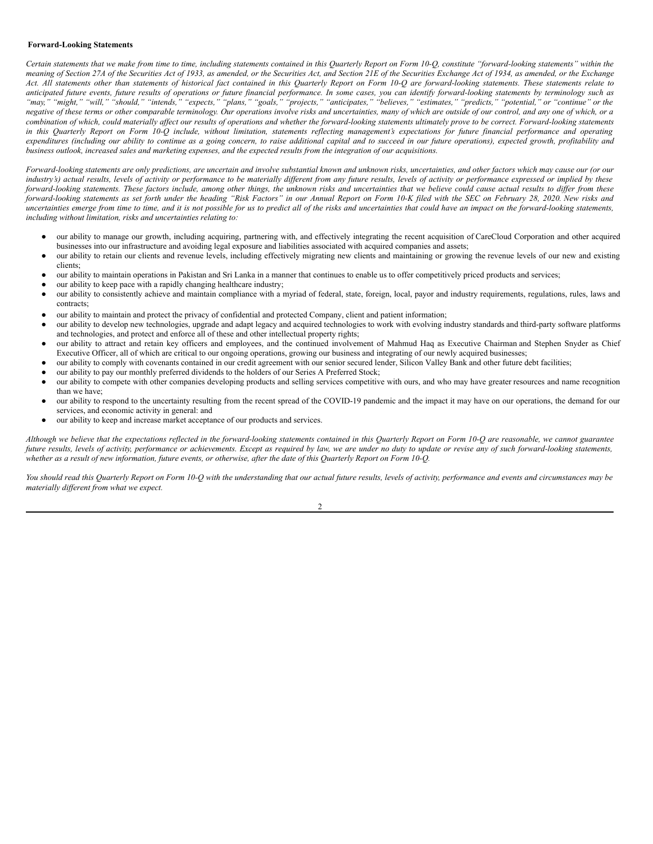### <span id="page-2-0"></span>**Forward-Looking Statements**

Certain statements that we make from time to time, including statements contained in this Quarterly Report on Form 10-Q, constitute "forward-looking statements" within the meaning of Section 27A of the Securities Act of 1933, as amended, or the Securities Act, and Section 21E of the Securities Exchange Act of 1934, as amended, or the Exchange Act. All statements other than statements of historical fact contained in this Quarterly Report on Form 10-Q are forward-looking statements. These statements relate to anticipated future events, future results of operations or future financial performance. In some cases, you can identify forward-looking statements by terminology such as "may," "might," "will," "should," "intends," "expects," "plans," "goals," "projects," "anticipates," "believes," "estimates," "predicts," "potential," or "continue" or the negative of these terms or other comparable terminology. Our operations involve risks and uncertainties, many of which are outside of our control, and any one of which, or a combination of which, could materially affect our results of operations and whether the forward-looking statements ultimately prove to be correct. Forward-looking statements in this Quarterly Report on Form 10-Q include, without limitation, statements reflecting management's expectations for future financial performance and operating expenditures (including our ability to continue as a going concern, to raise additional capital and to succeed in our future operations), expected growth, profitability and business outlook, increased sales and marketing expenses, and the expected results from the integration of our acquisitions.

Forward-looking statements are only predictions, are uncertain and involve substantial known and unknown risks, uncertainties, and other factors which may cause our (or our industry's) actual results, levels of activity or performance to be materially different from any future results, levels of activity or performance expressed or implied by these forward-looking statements. These factors include, among other things, the unknown risks and uncertainties that we believe could cause actual results to differ from these forward-looking statements as set forth under the heading "Risk Factors" in our Annual Report on Form 10-K filed with the SEC on February 28, 2020. New risks and uncertainties emerge from time to time, and it is not possible for us to predict all of the risks and uncertainties that could have an impact on the forward-looking statements, *including without limitation, risks and uncertainties relating to:*

- our ability to manage our growth, including acquiring, partnering with, and effectively integrating the recent acquisition of CareCloud Corporation and other acquired businesses into our infrastructure and avoiding legal exposure and liabilities associated with acquired companies and assets;
- our ability to retain our clients and revenue levels, including effectively migrating new clients and maintaining or growing the revenue levels of our new and existing clients;
- our ability to maintain operations in Pakistan and Sri Lanka in a manner that continues to enable us to offer competitively priced products and services;
- our ability to keep pace with a rapidly changing healthcare industry;
- our ability to consistently achieve and maintain compliance with a myriad of federal, state, foreign, local, payor and industry requirements, regulations, rules, laws and contracts;
- our ability to maintain and protect the privacy of confidential and protected Company, client and patient information;
- our ability to develop new technologies, upgrade and adapt legacy and acquired technologies to work with evolving industry standards and third-party software platforms and technologies, and protect and enforce all of these and other intellectual property rights;
- our ability to attract and retain key officers and employees, and the continued involvement of Mahmud Haq as Executive Chairman and Stephen Snyder as Chief Executive Officer, all of which are critical to our ongoing operations, growing our business and integrating of our newly acquired businesses;
- our ability to comply with covenants contained in our credit agreement with our senior secured lender, Silicon Valley Bank and other future debt facilities;
- our ability to pay our monthly preferred dividends to the holders of our Series A Preferred Stock;
- our ability to compete with other companies developing products and selling services competitive with ours, and who may have greater resources and name recognition than we have;
- our ability to respond to the uncertainty resulting from the recent spread of the COVID-19 pandemic and the impact it may have on our operations, the demand for our services, and economic activity in general: and
- our ability to keep and increase market acceptance of our products and services.

Although we believe that the expectations reflected in the forward-looking statements contained in this Quarterly Report on Form 10-Q are reasonable, we cannot guarantee future results, levels of activity, performance or achievements. Except as required by law, we are under no duty to update or revise any of such forward-looking statements, whether as a result of new information, future events, or otherwise, after the date of this Quarterly Report on Form 10-Q.

You should read this Quarterly Report on Form 10-Q with the understanding that our actual future results, levels of activity, performance and events and circumstances may be *materially dif erent from what we expect.*

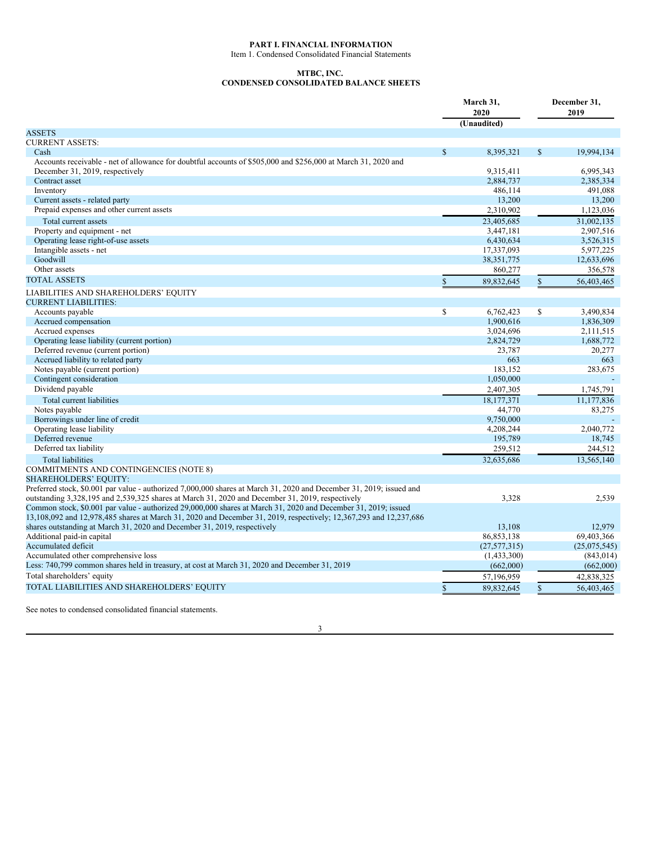### <span id="page-3-0"></span>**PART I. FINANCIAL INFORMATION**

<span id="page-3-1"></span>Item 1. Condensed Consolidated Financial Statements

### **MTBC, INC.**

## <span id="page-3-2"></span>**CONDENSED CONSOLIDATED BALANCE SHEETS**

|                                                                                                                      | March 31,<br>2020 |                | December 31,<br>2019 |              |  |
|----------------------------------------------------------------------------------------------------------------------|-------------------|----------------|----------------------|--------------|--|
|                                                                                                                      |                   | (Unaudited)    |                      |              |  |
| <b>ASSETS</b>                                                                                                        |                   |                |                      |              |  |
| <b>CURRENT ASSETS:</b>                                                                                               |                   |                |                      |              |  |
| Cash                                                                                                                 | $\mathbb{S}$      | 8,395,321      | $\mathbf S$          | 19.994.134   |  |
| Accounts receivable - net of allowance for doubtful accounts of \$505,000 and \$256,000 at March 31, 2020 and        |                   |                |                      |              |  |
| December 31, 2019, respectively                                                                                      |                   | 9,315,411      |                      | 6,995,343    |  |
| Contract asset                                                                                                       |                   | 2,884,737      |                      | 2,385,334    |  |
| Inventory                                                                                                            |                   | 486,114        |                      | 491,088      |  |
| Current assets - related party                                                                                       |                   | 13,200         |                      | 13,200       |  |
| Prepaid expenses and other current assets                                                                            |                   | 2,310,902      |                      | 1,123,036    |  |
| Total current assets                                                                                                 |                   | 23,405,685     |                      | 31,002,135   |  |
| Property and equipment - net                                                                                         |                   | 3,447,181      |                      | 2,907,516    |  |
| Operating lease right-of-use assets                                                                                  |                   | 6,430,634      |                      | 3,526,315    |  |
| Intangible assets - net                                                                                              |                   | 17,337,093     |                      | 5,977,225    |  |
| Goodwill                                                                                                             |                   | 38, 351, 775   |                      | 12,633,696   |  |
| Other assets                                                                                                         |                   | 860,277        |                      | 356,578      |  |
| <b>TOTAL ASSETS</b>                                                                                                  | \$                | 89,832,645     | $\mathbb{S}$         | 56,403,465   |  |
| LIABILITIES AND SHAREHOLDERS' EQUITY                                                                                 |                   |                |                      |              |  |
| <b>CURRENT LIABILITIES:</b>                                                                                          |                   |                |                      |              |  |
| Accounts payable                                                                                                     | \$                | 6,762,423      | \$                   | 3,490,834    |  |
| Accrued compensation                                                                                                 |                   | 1,900,616      |                      | 1,836,309    |  |
| Accrued expenses                                                                                                     |                   | 3,024,696      |                      | 2,111,515    |  |
| Operating lease liability (current portion)                                                                          |                   | 2,824,729      |                      | 1,688,772    |  |
| Deferred revenue (current portion)                                                                                   |                   | 23,787         |                      | 20,277       |  |
| Accrued liability to related party                                                                                   |                   | 663            |                      | 663          |  |
| Notes payable (current portion)                                                                                      |                   | 183,152        |                      | 283,675      |  |
| Contingent consideration                                                                                             |                   | 1,050,000      |                      |              |  |
| Dividend payable                                                                                                     |                   | 2,407,305      |                      | 1,745,791    |  |
| Total current liabilities                                                                                            |                   | 18,177,371     |                      | 11.177.836   |  |
| Notes payable                                                                                                        |                   | 44,770         |                      | 83,275       |  |
| Borrowings under line of credit                                                                                      |                   | 9,750,000      |                      |              |  |
| Operating lease liability                                                                                            |                   | 4,208,244      |                      | 2,040,772    |  |
| Deferred revenue                                                                                                     |                   | 195,789        |                      | 18,745       |  |
| Deferred tax liability                                                                                               |                   | 259,512        |                      | 244,512      |  |
| <b>Total liabilities</b>                                                                                             |                   | 32,635,686     |                      | 13.565.140   |  |
| <b>COMMITMENTS AND CONTINGENCIES (NOTE 8)</b>                                                                        |                   |                |                      |              |  |
| <b>SHAREHOLDERS' EQUITY:</b>                                                                                         |                   |                |                      |              |  |
| Preferred stock, \$0.001 par value - authorized 7,000,000 shares at March 31, 2020 and December 31, 2019; issued and |                   |                |                      |              |  |
| outstanding 3,328,195 and 2,539,325 shares at March 31, 2020 and December 31, 2019, respectively                     |                   | 3,328          |                      | 2,539        |  |
| Common stock, \$0.001 par value - authorized 29,000,000 shares at March 31, 2020 and December 31, 2019; issued       |                   |                |                      |              |  |
| 13,108,092 and 12,978,485 shares at March 31, 2020 and December 31, 2019, respectively; 12,367,293 and 12,237,686    |                   |                |                      |              |  |
| shares outstanding at March 31, 2020 and December 31, 2019, respectively                                             |                   | 13,108         |                      | 12,979       |  |
| Additional paid-in capital                                                                                           |                   | 86,853,138     |                      | 69,403,366   |  |
| Accumulated deficit                                                                                                  |                   | (27, 577, 315) |                      | (25,075,545) |  |
| Accumulated other comprehensive loss                                                                                 |                   | (1,433,300)    |                      | (843, 014)   |  |
| Less: 740,799 common shares held in treasury, at cost at March 31, 2020 and December 31, 2019                        |                   | (662,000)      |                      | (662,000)    |  |
| Total shareholders' equity                                                                                           |                   | 57,196,959     |                      | 42,838,325   |  |
|                                                                                                                      |                   |                |                      |              |  |
| TOTAL LIABILITIES AND SHAREHOLDERS' EQUITY                                                                           | $\mathbb{S}$      | 89,832,645     | $\mathbb{S}$         | 56,403,465   |  |

See notes to condensed consolidated financial statements.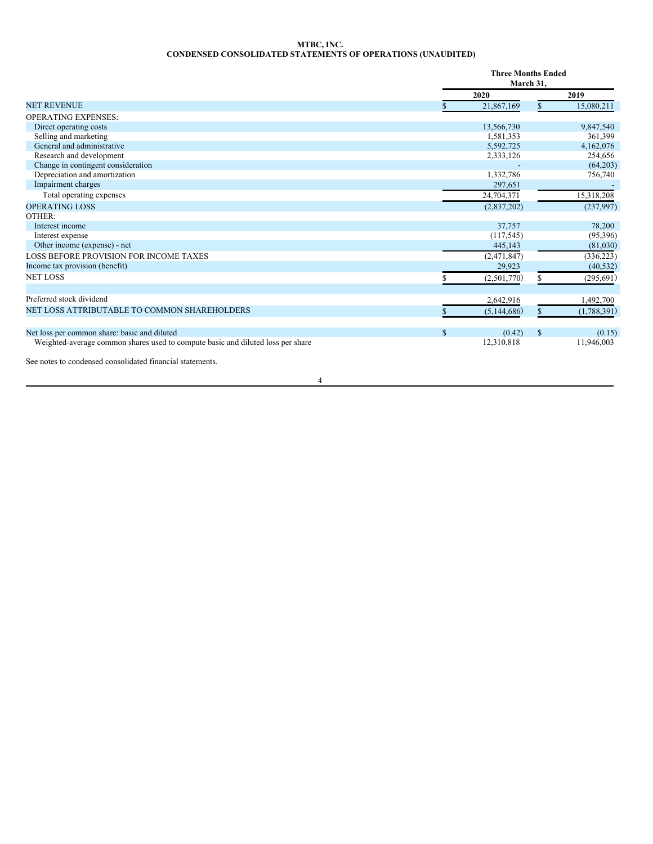### <span id="page-4-0"></span>**MTBC, INC. CONDENSED CONSOLIDATED STATEMENTS OF OPERATIONS (UNAUDITED)**

|                                                                                 |              | <b>Three Months Ended</b><br>March 31, |               |             |
|---------------------------------------------------------------------------------|--------------|----------------------------------------|---------------|-------------|
|                                                                                 |              | 2020                                   |               | 2019        |
| <b>NET REVENUE</b>                                                              |              | 21,867,169                             |               | 15,080,211  |
| <b>OPERATING EXPENSES:</b>                                                      |              |                                        |               |             |
| Direct operating costs                                                          |              | 13,566,730                             |               | 9,847,540   |
| Selling and marketing                                                           |              | 1,581,353                              |               | 361,399     |
| General and administrative                                                      |              | 5,592,725                              |               | 4,162,076   |
| Research and development                                                        |              | 2,333,126                              |               | 254,656     |
| Change in contingent consideration                                              |              |                                        |               | (64,203)    |
| Depreciation and amortization                                                   |              | 1,332,786                              |               | 756,740     |
| Impairment charges                                                              |              | 297,651                                |               |             |
| Total operating expenses                                                        |              | 24,704,371                             |               | 15,318,208  |
| <b>OPERATING LOSS</b>                                                           |              | (2,837,202)                            |               | (237,997)   |
| OTHER:                                                                          |              |                                        |               |             |
| Interest income                                                                 |              | 37,757                                 |               | 78,200      |
| Interest expense                                                                |              | (117, 545)                             |               | (95,396)    |
| Other income (expense) - net                                                    |              | 445,143                                |               | (81,030)    |
| LOSS BEFORE PROVISION FOR INCOME TAXES                                          |              | (2,471,847)                            |               | (336, 223)  |
| Income tax provision (benefit)                                                  |              | 29,923                                 |               | (40, 532)   |
| <b>NET LOSS</b>                                                                 |              | (2,501,770)                            |               | (295, 691)  |
| Preferred stock dividend                                                        |              | 2,642,916                              |               | 1,492,700   |
| NET LOSS ATTRIBUTABLE TO COMMON SHAREHOLDERS                                    |              | (5,144,686)                            |               | (1,788,391) |
|                                                                                 |              |                                        |               |             |
| Net loss per common share: basic and diluted                                    | $\mathbb{S}$ | (0.42)                                 | <sup>\$</sup> | (0.15)      |
| Weighted-average common shares used to compute basic and diluted loss per share |              | 12,310,818                             |               | 11,946,003  |
| المجامع المنعور والمستحدث المتناقص                                              |              |                                        |               |             |

See notes to condensed consolidated financial statements.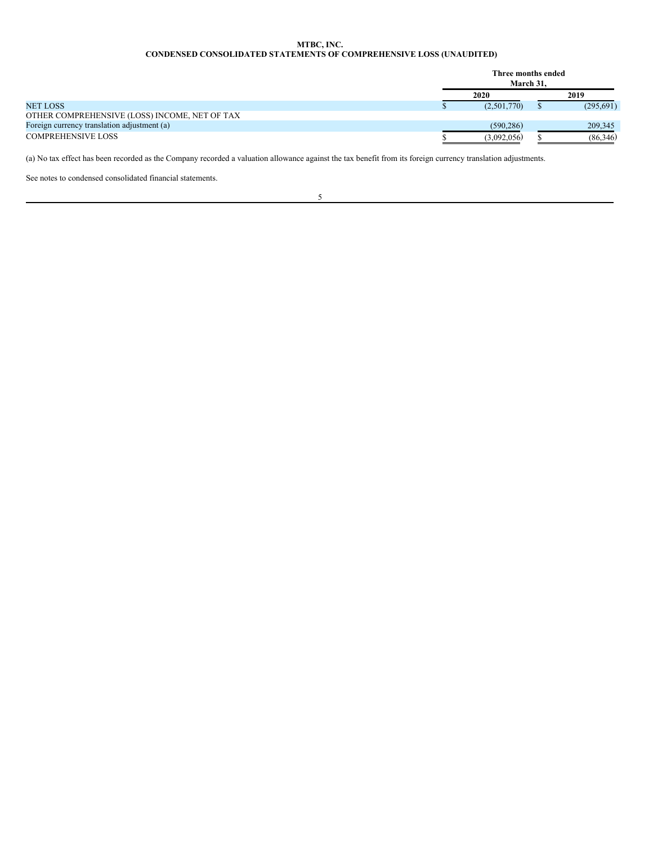### <span id="page-5-0"></span>**MTBC, INC. CONDENSED CONSOLIDATED STATEMENTS OF COMPREHENSIVE LOSS (UNAUDITED)**

|                                               | Three months ended<br>March 31. |           |
|-----------------------------------------------|---------------------------------|-----------|
|                                               | 2020                            | 2019      |
| <b>NET LOSS</b>                               | (2,501,770)                     | (295,691) |
| OTHER COMPREHENSIVE (LOSS) INCOME, NET OF TAX |                                 |           |
| Foreign currency translation adjustment (a)   | (590.286)                       | 209,345   |
| <b>COMPREHENSIVE LOSS</b>                     | (3.092.056)                     | (86,346)  |

(a) No tax effect has been recorded as the Company recorded a valuation allowance against the tax benefit from its foreign currency translation adjustments.

See notes to condensed consolidated financial statements.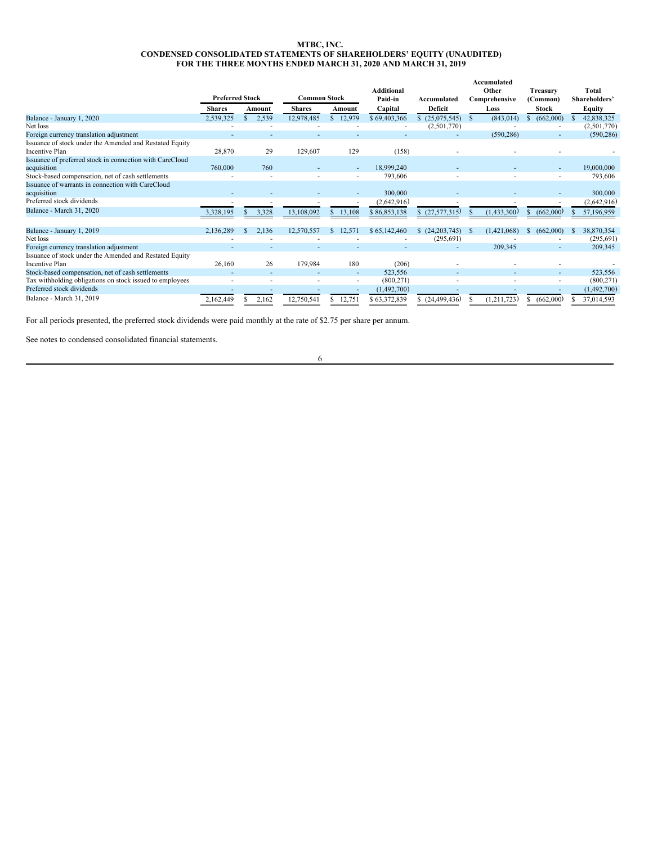#### <span id="page-6-0"></span>**MTBC, INC. CONDENSED CONSOLIDATED STATEMENTS OF SHAREHOLDERS' EQUITY (UNAUDITED) FOR THE THREE MONTHS ENDED MARCH 31, 2020 AND MARCH 31, 2019**

|                                                          |                        |        |                     |              |        |                   |                |     | Accumulated   |    |              |              |               |
|----------------------------------------------------------|------------------------|--------|---------------------|--------------|--------|-------------------|----------------|-----|---------------|----|--------------|--------------|---------------|
|                                                          |                        |        |                     |              |        | <b>Additional</b> |                |     | Other         |    | Treasury     |              | Total         |
|                                                          | <b>Preferred Stock</b> |        | <b>Common Stock</b> |              |        | Paid-in           | Accumulated    |     | Comprehensive |    | (Common)     |              | Shareholders' |
|                                                          | <b>Shares</b>          | Amount | <b>Shares</b>       |              | Amount | Capital           | Deficit        |     | Loss          |    | <b>Stock</b> |              | Equity        |
| Balance - January 1, 2020                                | 2,539,325              | 2,539  | 12,978,485          | $\mathbf{s}$ | 12,979 | \$69,403,366      | (25,075,545)   | S   | (843, 014)    |    | (662,000)    |              | 42,838,325    |
| Net loss                                                 |                        |        |                     |              |        |                   | (2,501,770)    |     |               |    |              |              | (2,501,770)   |
| Foreign currency translation adjustment                  |                        |        |                     |              |        |                   | ٠              |     | (590, 286)    |    |              |              | (590, 286)    |
| Issuance of stock under the Amended and Restated Equity  |                        |        |                     |              |        |                   |                |     |               |    |              |              |               |
| <b>Incentive Plan</b>                                    | 28,870                 | 29     | 129,607             |              | 129    | (158)             |                |     |               |    |              |              |               |
| Issuance of preferred stock in connection with CareCloud |                        |        |                     |              |        |                   |                |     |               |    |              |              |               |
| acquisition                                              | 760,000                | 760    |                     |              |        | 18,999,240        |                |     |               |    |              |              | 19,000,000    |
| Stock-based compensation, net of cash settlements        |                        |        |                     |              |        | 793,606           |                |     |               |    |              |              | 793,606       |
| Issuance of warrants in connection with CareCloud        |                        |        |                     |              |        |                   |                |     |               |    |              |              |               |
| acquisition                                              |                        |        |                     |              |        | 300,000           |                |     |               |    |              |              | 300,000       |
| Preferred stock dividends                                |                        |        |                     |              |        | (2,642,916)       |                |     |               |    |              |              | (2,642,916)   |
| <b>Balance - March 31, 2020</b>                          | 3,328,195              | 3,328  | 13,108,092          |              | 13,108 | \$86,853,138      | (27, 577, 315) |     | (1,433,300)   |    | (662,000)    |              | 57,196,959    |
|                                                          |                        |        |                     |              |        |                   |                |     |               |    |              |              |               |
| Balance - January 1, 2019                                | 2,136,289              | 2,136  | 12,570,557          | <b>S</b>     | 12,571 | \$65,142,460      | (24, 203, 745) | - 8 | (1,421,068)   | S. | (662,000)    | <sup>S</sup> | 38,870,354    |
| Net loss                                                 |                        |        |                     |              |        |                   | (295, 691)     |     |               |    |              |              | (295, 691)    |
| Foreign currency translation adjustment                  |                        |        |                     |              |        |                   |                |     | 209,345       |    | ٠            |              | 209,345       |
| Issuance of stock under the Amended and Restated Equity  |                        |        |                     |              |        |                   |                |     |               |    |              |              |               |
| <b>Incentive Plan</b>                                    | 26,160                 | 26     | 179,984             |              | 180    | (206)             |                |     |               |    |              |              |               |
| Stock-based compensation, net of cash settlements        |                        |        |                     |              | ٠      | 523,556           |                |     |               |    | ٠            |              | 523,556       |
| Tax withholding obligations on stock issued to employees |                        |        |                     |              | ٠      | (800, 271)        |                |     |               |    |              |              | (800, 271)    |
| Preferred stock dividends                                |                        |        |                     |              |        | (1,492,700)       |                |     |               |    |              |              | (1,492,700)   |
| Balance - March 31, 2019                                 | 2,162,449              | 2,162  | 12,750,541          |              | 12,751 | \$63,372,839      | (24, 499, 436) |     | (1,211,723)   |    | (662,000)    |              | 37,014,593    |

For all periods presented, the preferred stock dividends were paid monthly at the rate of \$2.75 per share per annum.

See notes to condensed consolidated financial statements.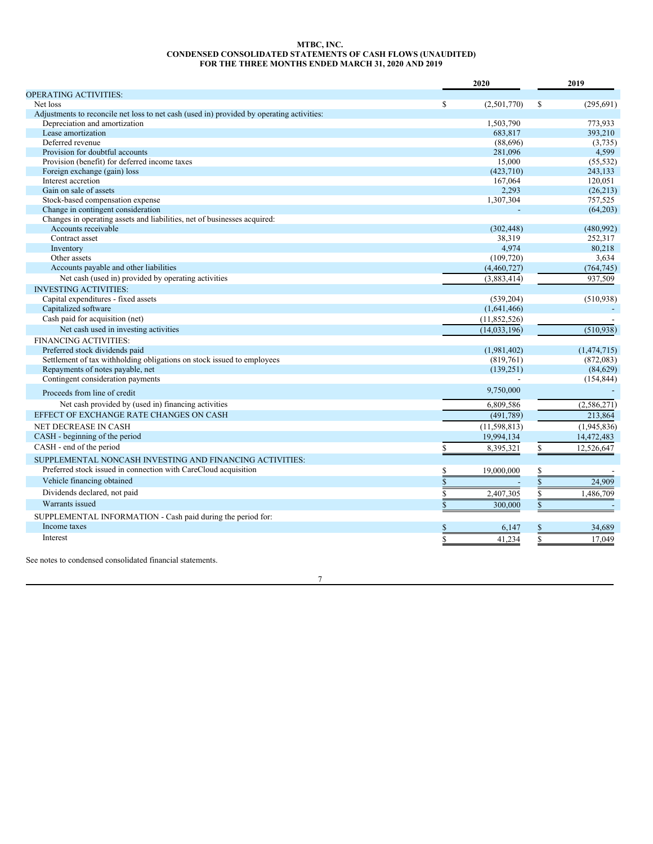### <span id="page-7-0"></span>**MTBC, INC. CONDENSED CONSOLIDATED STATEMENTS OF CASH FLOWS (UNAUDITED) FOR THE THREE MONTHS ENDED MARCH 31, 2020 AND 2019**

|                                                                                           |                    | 2020           |               | 2019        |  |  |
|-------------------------------------------------------------------------------------------|--------------------|----------------|---------------|-------------|--|--|
| <b>OPERATING ACTIVITIES:</b>                                                              |                    |                |               |             |  |  |
| Net loss                                                                                  | \$.                | (2,501,770)    | <sup>\$</sup> | (295, 691)  |  |  |
| Adjustments to reconcile net loss to net cash (used in) provided by operating activities: |                    |                |               |             |  |  |
| Depreciation and amortization                                                             |                    | 1,503,790      |               | 773,933     |  |  |
| Lease amortization                                                                        |                    | 683,817        |               | 393,210     |  |  |
| Deferred revenue                                                                          |                    | (88,696)       |               | (3,735)     |  |  |
| Provision for doubtful accounts                                                           |                    | 281,096        |               | 4,599       |  |  |
| Provision (benefit) for deferred income taxes                                             |                    | 15,000         |               | (55, 532)   |  |  |
| Foreign exchange (gain) loss                                                              |                    | (423,710)      |               | 243,133     |  |  |
| Interest accretion                                                                        |                    | 167,064        |               | 120.051     |  |  |
| Gain on sale of assets                                                                    |                    | 2,293          |               | (26,213)    |  |  |
| Stock-based compensation expense                                                          |                    | 1,307,304      |               | 757.525     |  |  |
| Change in contingent consideration                                                        |                    |                |               | (64,203)    |  |  |
| Changes in operating assets and liabilities, net of businesses acquired:                  |                    |                |               |             |  |  |
| Accounts receivable                                                                       |                    | (302, 448)     |               | (480, 992)  |  |  |
| Contract asset                                                                            |                    | 38,319         |               | 252,317     |  |  |
| Inventory                                                                                 |                    | 4,974          |               | 80,218      |  |  |
| Other assets                                                                              |                    | (109, 720)     |               | 3.634       |  |  |
| Accounts payable and other liabilities                                                    |                    | (4,460,727)    |               | (764, 745)  |  |  |
| Net cash (used in) provided by operating activities                                       |                    | (3,883,414)    |               | 937,509     |  |  |
| <b>INVESTING ACTIVITIES:</b>                                                              |                    |                |               |             |  |  |
| Capital expenditures - fixed assets                                                       |                    | (539.204)      |               | (510, 938)  |  |  |
| Capitalized software                                                                      |                    | (1,641,466)    |               |             |  |  |
| Cash paid for acquisition (net)                                                           |                    | (11,852,526)   |               |             |  |  |
| Net cash used in investing activities                                                     |                    | (14, 033, 196) |               | (510, 938)  |  |  |
| FINANCING ACTIVITIES:                                                                     |                    |                |               |             |  |  |
| Preferred stock dividends paid                                                            |                    | (1,981,402)    |               | (1,474,715) |  |  |
| Settlement of tax withholding obligations on stock issued to employees                    |                    | (819,761)      |               | (872,083)   |  |  |
| Repayments of notes payable, net                                                          |                    | (139, 251)     |               | (84, 629)   |  |  |
| Contingent consideration payments                                                         |                    |                |               | (154, 844)  |  |  |
| Proceeds from line of credit                                                              |                    | 9,750,000      |               |             |  |  |
| Net cash provided by (used in) financing activities                                       |                    | 6,809,586      |               | (2,586,271) |  |  |
| EFFECT OF EXCHANGE RATE CHANGES ON CASH                                                   |                    | (491,789)      |               | 213.864     |  |  |
| <b>NET DECREASE IN CASH</b>                                                               |                    | (11, 598, 813) |               | (1,945,836) |  |  |
| CASH - beginning of the period                                                            |                    | 19,994,134     |               |             |  |  |
| CASH - end of the period                                                                  |                    |                |               | 14,472,483  |  |  |
|                                                                                           |                    | 8,395,321      | S.            | 12,526,647  |  |  |
| SUPPLEMENTAL NONCASH INVESTING AND FINANCING ACTIVITIES:                                  |                    |                |               |             |  |  |
| Preferred stock issued in connection with CareCloud acquisition                           | S                  | 19,000,000     | \$            |             |  |  |
| Vehicle financing obtained                                                                | $\mathbf{\hat{S}}$ |                | \$            | 24,909      |  |  |
| Dividends declared, not paid                                                              | \$                 | 2,407,305      | \$            | 1,486,709   |  |  |
| Warrants issued                                                                           | $\mathbf S$        | 300,000        | \$            |             |  |  |
| SUPPLEMENTAL INFORMATION - Cash paid during the period for:                               |                    |                |               |             |  |  |
| Income taxes                                                                              | \$                 | 6,147          | \$            | 34,689      |  |  |
| Interest                                                                                  | \$                 | 41,234         | \$            | 17.049      |  |  |
|                                                                                           |                    |                |               |             |  |  |

See notes to condensed consolidated financial statements.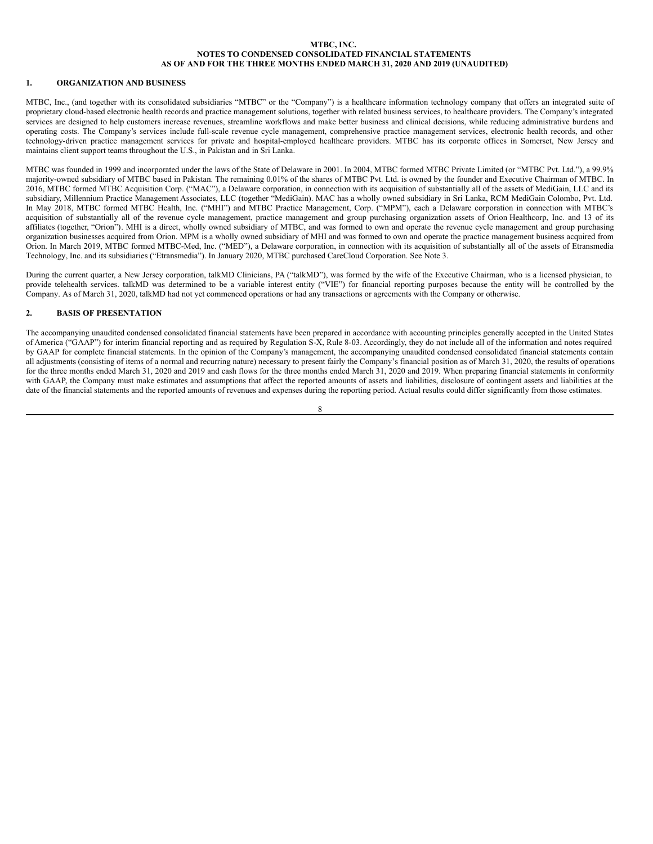### <span id="page-8-0"></span>**MTBC, INC. NOTES TO CONDENSED CONSOLIDATED FINANCIAL STATEMENTS AS OF AND FOR THE THREE MONTHS ENDED MARCH 31, 2020 AND 2019 (UNAUDITED)**

### **1. ORGANIZATION AND BUSINESS**

MTBC, Inc., (and together with its consolidated subsidiaries "MTBC" or the "Company") is a healthcare information technology company that offers an integrated suite of proprietary cloud-based electronic health records and practice management solutions, together with related business services, to healthcare providers. The Company's integrated services are designed to help customers increase revenues, streamline workflows and make better business and clinical decisions, while reducing administrative burdens and operating costs. The Company's services include full-scale revenue cycle management, comprehensive practice management services, electronic health records, and other technology-driven practice management services for private and hospital-employed healthcare providers. MTBC has its corporate offices in Somerset, New Jersey and maintains client support teams throughout the U.S., in Pakistan and in Sri Lanka.

MTBC was founded in 1999 and incorporated under the laws of the State of Delaware in 2001. In 2004, MTBC formed MTBC Private Limited (or "MTBC Pvt. Ltd."), a 99.9% majority-owned subsidiary of MTBC based in Pakistan. The remaining 0.01% of the shares of MTBC Pvt. Ltd. is owned by the founder and Executive Chairman of MTBC. In 2016, MTBC formed MTBC Acquisition Corp. ("MAC"), a Delaware corporation, in connection with its acquisition of substantially all of the assets of MediGain, LLC and its subsidiary, Millennium Practice Management Associates, LLC (together "MediGain). MAC has a wholly owned subsidiary in Sri Lanka, RCM MediGain Colombo, Pvt. Ltd. In May 2018, MTBC formed MTBC Health, Inc. ("MHI") and MTBC Practice Management, Corp. ("MPM"), each a Delaware corporation in connection with MTBC's acquisition of substantially all of the revenue cycle management, practice management and group purchasing organization assets of Orion Healthcorp, Inc. and 13 of its affiliates (together, "Orion"). MHI is a direct, wholly owned subsidiary of MTBC, and was formed to own and operate the revenue cycle management and group purchasing organization businesses acquired from Orion. MPM is a wholly owned subsidiary of MHI and was formed to own and operate the practice management business acquired from Orion. In March 2019, MTBC formed MTBC-Med, Inc. ("MED"), a Delaware corporation, in connection with its acquisition of substantially all of the assets of Etransmedia Technology, Inc. and its subsidiaries ("Etransmedia"). In January 2020, MTBC purchased CareCloud Corporation. See Note 3.

During the current quarter, a New Jersey corporation, talkMD Clinicians, PA ("talkMD"), was formed by the wife of the Executive Chairman, who is a licensed physician, to provide telehealth services. talkMD was determined to be a variable interest entity ("VIE") for financial reporting purposes because the entity will be controlled by the Company. As of March 31, 2020, talkMD had not yet commenced operations or had any transactions or agreements with the Company or otherwise.

### **2. BASIS OF PRESENTATION**

The accompanying unaudited condensed consolidated financial statements have been prepared in accordance with accounting principles generally accepted in the United States of America ("GAAP") for interim financial reporting and as required by Regulation S-X, Rule 8-03. Accordingly, they do not include all of the information and notes required by GAAP for complete financial statements. In the opinion of the Company's management, the accompanying unaudited condensed consolidated financial statements contain all adjustments (consisting of items of a normal and recurring nature) necessary to present fairly the Company's financial position as of March 31, 2020, the results of operations for the three months ended March 31, 2020 and 2019 and cash flows for the three months ended March 31, 2020 and 2019. When preparing financial statements in conformity with GAAP, the Company must make estimates and assumptions that affect the reported amounts of assets and liabilities, disclosure of contingent assets and liabilities at the date of the financial statements and the reported amounts of revenues and expenses during the reporting period. Actual results could differ significantly from those estimates.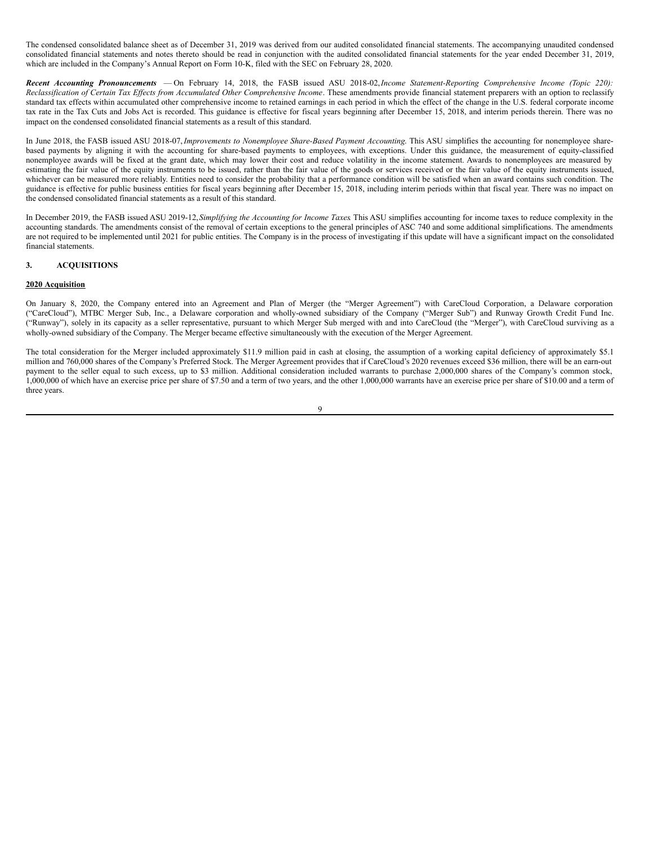The condensed consolidated balance sheet as of December 31, 2019 was derived from our audited consolidated financial statements. The accompanying unaudited condensed consolidated financial statements and notes thereto should be read in conjunction with the audited consolidated financial statements for the year ended December 31, 2019, which are included in the Company's Annual Report on Form 10-K, filed with the SEC on February 28, 2020.

*Recent Accounting Pronouncements* — On February 14, 2018, the FASB issued ASU 2018-02,*Income Statement-Reporting Comprehensive Income (Topic 220):* Reclassification of Certain Tax Effects from Accumulated Other Comprehensive Income. These amendments provide financial statement preparers with an option to reclassify standard tax effects within accumulated other comprehensive income to retained earnings in each period in which the effect of the change in the U.S. federal corporate income tax rate in the Tax Cuts and Jobs Act is recorded. This guidance is effective for fiscal years beginning after December 15, 2018, and interim periods therein. There was no impact on the condensed consolidated financial statements as a result of this standard.

In June 2018, the FASB issued ASU 2018-07,*Improvements to Nonemployee Share-Based Payment Accounting*. This ASU simplifies the accounting for nonemployee sharebased payments by aligning it with the accounting for share-based payments to employees, with exceptions. Under this guidance, the measurement of equity-classified nonemployee awards will be fixed at the grant date, which may lower their cost and reduce volatility in the income statement. Awards to nonemployees are measured by estimating the fair value of the equity instruments to be issued, rather than the fair value of the goods or services received or the fair value of the equity instruments issued, whichever can be measured more reliably. Entities need to consider the probability that a performance condition will be satisfied when an award contains such condition. The guidance is effective for public business entities for fiscal years beginning after December 15, 2018, including interim periods within that fiscal year. There was no impact on the condensed consolidated financial statements as a result of this standard.

In December 2019, the FASB issued ASU 2019-12,*Simplifying the Accounting for Income Taxes*. This ASU simplifies accounting for income taxes to reduce complexity in the accounting standards. The amendments consist of the removal of certain exceptions to the general principles of ASC 740 and some additional simplifications. The amendments are not required to be implemented until 2021 for public entities. The Company is in the process of investigating if this update will have a significant impact on the consolidated financial statements.

### **3. ACQUISITIONS**

### **2020 Acquisition**

On January 8, 2020, the Company entered into an Agreement and Plan of Merger (the "Merger Agreement") with CareCloud Corporation, a Delaware corporation ("CareCloud"), MTBC Merger Sub, Inc., a Delaware corporation and wholly-owned subsidiary of the Company ("Merger Sub") and Runway Growth Credit Fund Inc. ("Runway"), solely in its capacity as a seller representative, pursuant to which Merger Sub merged with and into CareCloud (the "Merger"), with CareCloud surviving as a wholly-owned subsidiary of the Company. The Merger became effective simultaneously with the execution of the Merger Agreement.

The total consideration for the Merger included approximately \$11.9 million paid in cash at closing, the assumption of a working capital deficiency of approximately \$5.1 million and 760,000 shares of the Company's Preferred Stock. The Merger Agreement provides that if CareCloud's 2020 revenues exceed \$36 million, there will be an earn-out payment to the seller equal to such excess, up to \$3 million. Additional consideration included warrants to purchase 2,000,000 shares of the Company's common stock, 1,000,000 of which have an exercise price per share of \$7.50 and a term of two years, and the other 1,000,000 warrants have an exercise price per share of \$10.00 and a term of three years.

#### $\overline{Q}$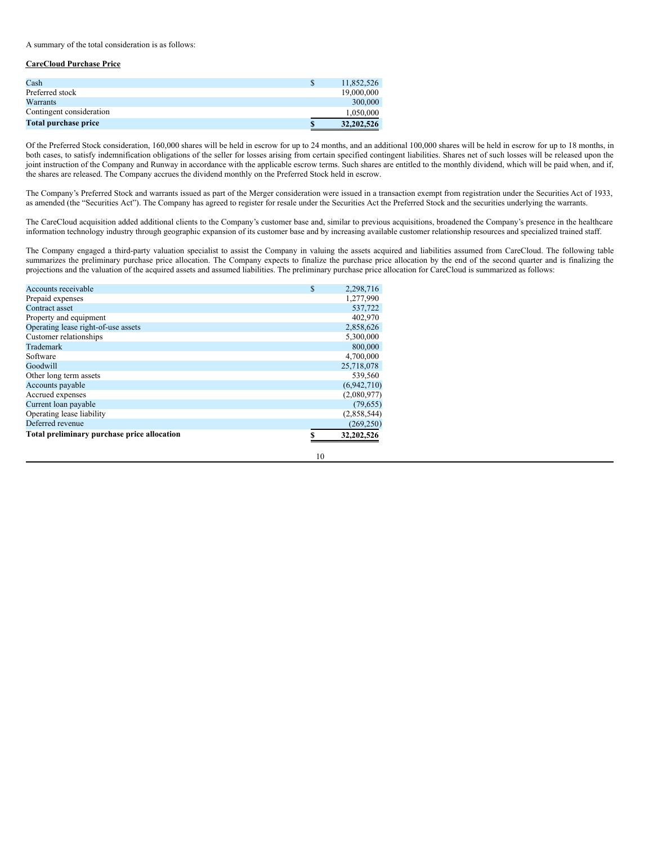A summary of the total consideration is as follows:

### **CareCloud Purchase Price**

| Cash                     | \$ | 11.852.526   |
|--------------------------|----|--------------|
| Preferred stock          |    | 19,000,000   |
| Warrants                 |    | 300,000      |
| Contingent consideration |    | 1,050,000    |
| Total purchase price     | S  | 32, 202, 526 |

Of the Preferred Stock consideration, 160,000 shares will be held in escrow for up to 24 months, and an additional 100,000 shares will be held in escrow for up to 18 months, in both cases, to satisfy indemnification obligations of the seller for losses arising from certain specified contingent liabilities. Shares net of such losses will be released upon the joint instruction of the Company and Runway in accordance with the applicable escrow terms. Such shares are entitled to the monthly dividend, which will be paid when, and if, the shares are released. The Company accrues the dividend monthly on the Preferred Stock held in escrow.

The Company's Preferred Stock and warrants issued as part of the Merger consideration were issued in a transaction exempt from registration under the Securities Act of 1933, as amended (the "Securities Act"). The Company has agreed to register for resale under the Securities Act the Preferred Stock and the securities underlying the warrants.

The CareCloud acquisition added additional clients to the Company's customer base and, similar to previous acquisitions, broadened the Company's presence in the healthcare information technology industry through geographic expansion of its customer base and by increasing available customer relationship resources and specialized trained staff.

The Company engaged a third-party valuation specialist to assist the Company in valuing the assets acquired and liabilities assumed from CareCloud. The following table summarizes the preliminary purchase price allocation. The Company expects to finalize the purchase price allocation by the end of the second quarter and is finalizing the projections and the valuation of the acquired assets and assumed liabilities. The preliminary purchase price allocation for CareCloud is summarized as follows:

| Accounts receivable                         | \$<br>2,298,716 |
|---------------------------------------------|-----------------|
| Prepaid expenses                            | 1,277,990       |
| Contract asset                              | 537,722         |
| Property and equipment                      | 402,970         |
| Operating lease right-of-use assets         | 2,858,626       |
| Customer relationships                      | 5,300,000       |
| Trademark                                   | 800,000         |
| Software                                    | 4,700,000       |
| Goodwill                                    | 25,718,078      |
| Other long term assets                      | 539,560         |
| Accounts payable                            | (6,942,710)     |
| Accrued expenses                            | (2,080,977)     |
| Current loan payable                        | (79, 655)       |
| Operating lease liability                   | (2,858,544)     |
| Deferred revenue                            | (269, 250)      |
| Total preliminary purchase price allocation | 32,202,526      |
|                                             |                 |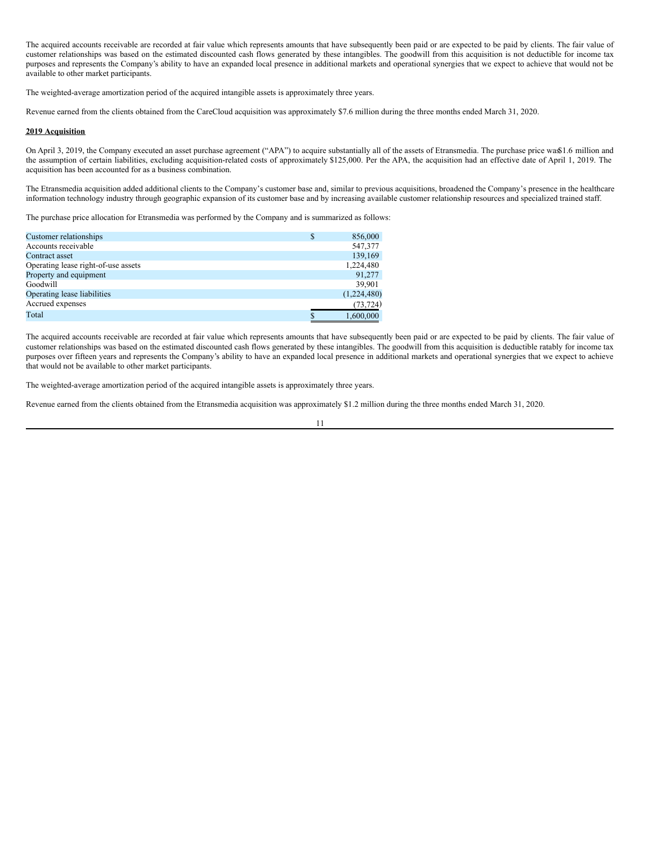The acquired accounts receivable are recorded at fair value which represents amounts that have subsequently been paid or are expected to be paid by clients. The fair value of customer relationships was based on the estimated discounted cash flows generated by these intangibles. The goodwill from this acquisition is not deductible for income tax purposes and represents the Company's ability to have an expanded local presence in additional markets and operational synergies that we expect to achieve that would not be available to other market participants.

The weighted-average amortization period of the acquired intangible assets is approximately three years.

Revenue earned from the clients obtained from the CareCloud acquisition was approximately \$7.6 million during the three months ended March 31, 2020.

#### **2019 Acquisition**

On April 3, 2019, the Company executed an asset purchase agreement ("APA") to acquire substantially all of the assets of Etransmedia. The purchase price was\$1.6 million and the assumption of certain liabilities, excluding acquisition-related costs of approximately \$125,000. Per the APA, the acquisition had an effective date of April 1, 2019. The acquisition has been accounted for as a business combination.

The Etransmedia acquisition added additional clients to the Company's customer base and, similar to previous acquisitions, broadened the Company's presence in the healthcare information technology industry through geographic expansion of its customer base and by increasing available customer relationship resources and specialized trained staff.

The purchase price allocation for Etransmedia was performed by the Company and is summarized as follows:

| Customer relationships              | \$ | 856,000     |
|-------------------------------------|----|-------------|
| Accounts receivable                 |    | 547,377     |
| Contract asset                      |    | 139,169     |
| Operating lease right-of-use assets |    | 1,224,480   |
| Property and equipment              |    | 91.277      |
| Goodwill                            |    | 39.901      |
| Operating lease liabilities         |    | (1,224,480) |
| Accrued expenses                    |    | (73, 724)   |
| Total                               | S  | 1.600.000   |

The acquired accounts receivable are recorded at fair value which represents amounts that have subsequently been paid or are expected to be paid by clients. The fair value of customer relationships was based on the estimated discounted cash flows generated by these intangibles. The goodwill from this acquisition is deductible ratably for income tax purposes over fifteen years and represents the Company's ability to have an expanded local presence in additional markets and operational synergies that we expect to achieve that would not be available to other market participants.

The weighted-average amortization period of the acquired intangible assets is approximately three years.

Revenue earned from the clients obtained from the Etransmedia acquisition was approximately \$1.2 million during the three months ended March 31, 2020.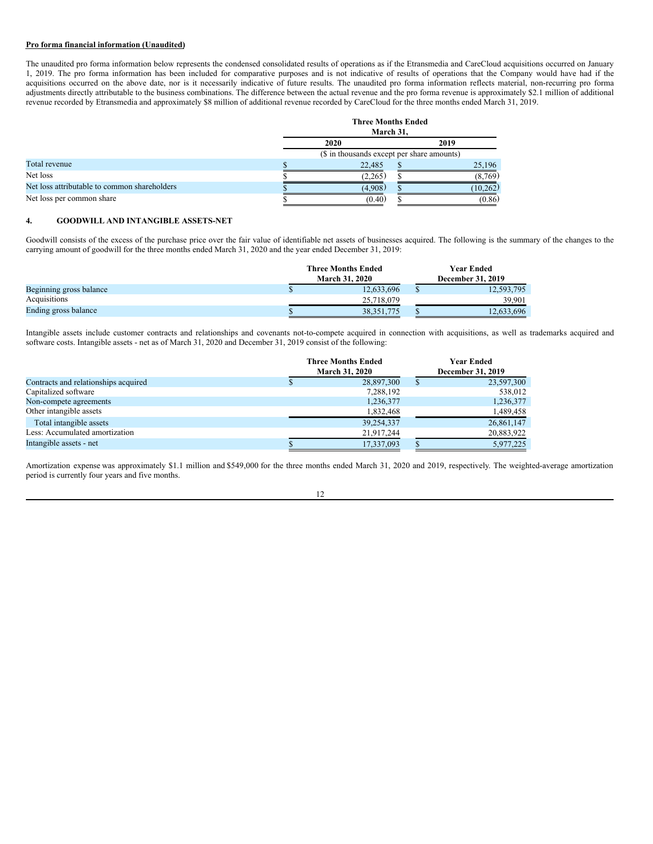### **Pro forma financial information (Unaudited)**

The unaudited pro forma information below represents the condensed consolidated results of operations as if the Etransmedia and CareCloud acquisitions occurred on January 1, 2019. The pro forma information has been included for comparative purposes and is not indicative of results of operations that the Company would have had if the acquisitions occurred on the above date, nor is it necessarily indicative of future results. The unaudited pro forma information reflects material, non-recurring pro forma adjustments directly attributable to the business combinations. The difference between the actual revenue and the pro forma revenue is approximately \$2.1 million of additional revenue recorded by Etransmedia and approximately \$8 million of additional revenue recorded by CareCloud for the three months ended March 31, 2019.

|                                              | <b>Three Months Ended</b><br>March 31.     |          |  |  |  |  |  |
|----------------------------------------------|--------------------------------------------|----------|--|--|--|--|--|
|                                              | 2020<br>2019                               |          |  |  |  |  |  |
|                                              | (\$ in thousands except per share amounts) |          |  |  |  |  |  |
| Total revenue                                | 22,485                                     | 25.196   |  |  |  |  |  |
| Net loss                                     | (2,265)                                    | (8, 769) |  |  |  |  |  |
| Net loss attributable to common shareholders | (4,908)                                    | (10.262) |  |  |  |  |  |
| Net loss per common share                    | (0.40)                                     | (0.86)   |  |  |  |  |  |

#### **4. GOODWILL AND INTANGIBLE ASSETS-NET**

Goodwill consists of the excess of the purchase price over the fair value of identifiable net assets of businesses acquired. The following is the summary of the changes to the carrying amount of goodwill for the three months ended March 31, 2020 and the year ended December 31, 2019:

|                         | <b>Three Months Ended</b> | Year Ended        |
|-------------------------|---------------------------|-------------------|
|                         | <b>March 31, 2020</b>     | December 31, 2019 |
| Beginning gross balance | 12.633.696                | 12,593,795        |
| Acquisitions            | 25.718.079                | 39.901            |
| Ending gross balance    | 38.351.775                | 12,633,696        |

Intangible assets include customer contracts and relationships and covenants not-to-compete acquired in connection with acquisitions, as well as trademarks acquired and software costs. Intangible assets - net as of March 31, 2020 and December 31, 2019 consist of the following:

|                                      | <b>Three Months Ended</b> |                   | <b>Year Ended</b> |  |
|--------------------------------------|---------------------------|-------------------|-------------------|--|
|                                      | <b>March 31, 2020</b>     | December 31, 2019 |                   |  |
| Contracts and relationships acquired | 28,897,300                | S                 | 23,597,300        |  |
| Capitalized software                 | 7,288,192                 |                   | 538,012           |  |
| Non-compete agreements               | 1,236,377                 |                   | 1,236,377         |  |
| Other intangible assets              | 1,832,468                 |                   | 1,489,458         |  |
| Total intangible assets              | 39,254,337                |                   | 26,861,147        |  |
| Less: Accumulated amortization       | 21,917,244                |                   | 20,883,922        |  |
| Intangible assets - net              | 17,337,093                |                   | 5,977,225         |  |

Amortization expense was approximately \$1.1 million and \$549,000 for the three months ended March 31, 2020 and 2019, respectively. The weighted-average amortization period is currently four years and five months.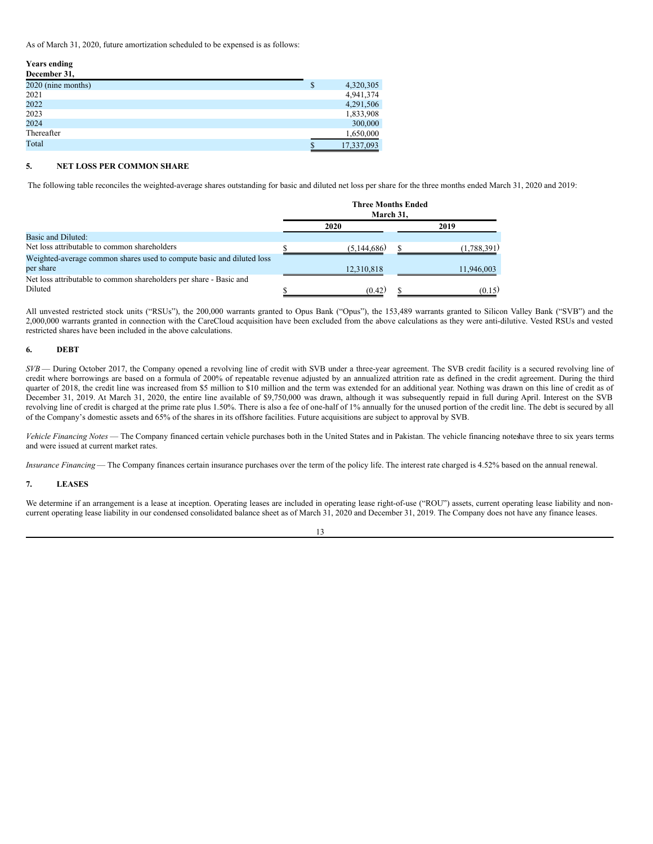As of March 31, 2020, future amortization scheduled to be expensed is as follows:

## **Years ending**

| December 31,       |                  |
|--------------------|------------------|
| 2020 (nine months) | \$<br>4,320,305  |
| 2021               | 4,941,374        |
| 2022               | 4,291,506        |
| 2023               | 1,833,908        |
| 2024               | 300,000          |
| Thereafter         | 1,650,000        |
| Total              | \$<br>17,337,093 |

### **5. NET LOSS PER COMMON SHARE**

The following table reconciles the weighted-average shares outstanding for basic and diluted net loss per share for the three months ended March 31, 2020 and 2019:

|                                                                       | <b>Three Months Ended</b><br>March 31. |               |  |             |
|-----------------------------------------------------------------------|----------------------------------------|---------------|--|-------------|
|                                                                       |                                        | 2020          |  | 2019        |
| Basic and Diluted:                                                    |                                        |               |  |             |
| Net loss attributable to common shareholders                          |                                        | (5, 144, 686) |  | (1,788,391) |
| Weighted-average common shares used to compute basic and diluted loss |                                        |               |  |             |
| per share                                                             |                                        | 12,310,818    |  | 11,946,003  |
| Net loss attributable to common shareholders per share - Basic and    |                                        |               |  |             |
| Diluted                                                               |                                        | (0.42)        |  | (0.15)      |

All unvested restricted stock units ("RSUs"), the 200,000 warrants granted to Opus Bank ("Opus"), the 153,489 warrants granted to Silicon Valley Bank ("SVB") and the 2,000,000 warrants granted in connection with the CareCloud acquisition have been excluded from the above calculations as they were anti-dilutive. Vested RSUs and vested restricted shares have been included in the above calculations.

### **6. DEBT**

*SVB* — During October 2017, the Company opened a revolving line of credit with SVB under a three-year agreement. The SVB credit facility is a secured revolving line of credit where borrowings are based on a formula of 200% of repeatable revenue adjusted by an annualized attrition rate as defined in the credit agreement. During the third quarter of 2018, the credit line was increased from \$5 million to \$10 million and the term was extended for an additional year. Nothing was drawn on this line of credit as of December 31, 2019. At March 31, 2020, the entire line available of \$9,750,000 was drawn, although it was subsequently repaid in full during April. Interest on the SVB revolving line of credit is charged at the prime rate plus 1.50%. There is also a fee of one-half of 1% annually for the unused portion of the credit line. The debt is secured by all of the Company's domestic assets and 65% of the shares in its offshore facilities. Future acquisitions are subject to approval by SVB.

*Vehicle Financing Notes* — The Company financed certain vehicle purchases both in the United States and in Pakistan. The vehicle financing noteshave three to six years terms and were issued at current market rates.

*Insurance Financing* — The Company finances certain insurance purchases over the term of the policy life. The interest rate charged is 4.52% based on the annual renewal.

### **7. LEASES**

We determine if an arrangement is a lease at inception. Operating leases are included in operating lease right-of-use ("ROU") assets, current operating lease liability and noncurrent operating lease liability in our condensed consolidated balance sheet as of March 31, 2020 and December 31, 2019. The Company does not have any finance leases.

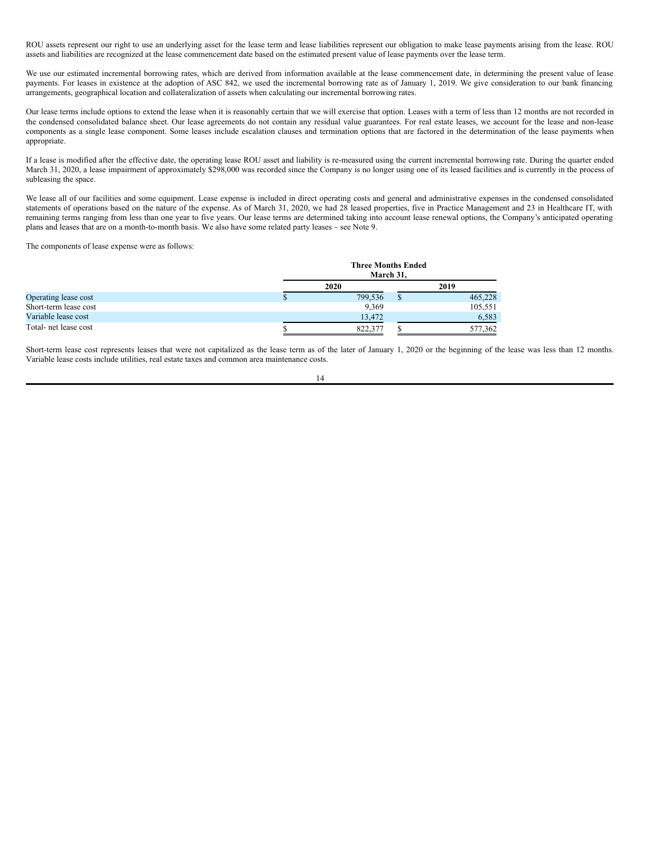ROU assets represent our right to use an underlying asset for the lease term and lease liabilities represent our obligation to make lease payments arising from the lease. ROU assets and liabilities are recognized at the lease commencement date based on the estimated present value of lease payments over the lease term.

We use our estimated incremental borrowing rates, which are derived from information available at the lease commencement date, in determining the present value of lease payments. For leases in existence at the adoption of ASC 842, we used the incremental borrowing rate as of January 1, 2019. We give consideration to our bank financing arrangements, geographical location and collateralization of assets when calculating our incremental borrowing rates.

Our lease terms include options to extend the lease when it is reasonably certain that we will exercise that option. Leases with a term of less than 12 months are not recorded in the condensed consolidated balance sheet. Our lease agreements do not contain any residual value guarantees. For real estate leases, we account for the lease and non-lease components as a single lease component. Some leases include escalation clauses and termination options that are factored in the determination of the lease payments when appropriate.

If a lease is modified after the effective date, the operating lease ROU asset and liability is re-measured using the current incremental borrowing rate. During the quarter ended March 31, 2020, a lease impairment of approximately \$298,000 was recorded since the Company is no longer using one of its leased facilities and is currently in the process of subleasing the space.

We lease all of our facilities and some equipment. Lease expense is included in direct operating costs and general and administrative expenses in the condensed consolidated statements of operations based on the nature of the expense. As of March 31, 2020, we had 28 leased properties, five in Practice Management and 23 in Healthcare IT, with remaining terms ranging from less than one year to five years. Our lease terms are determined taking into account lease renewal options, the Company's anticipated operating plans and leases that are on a month-to-month basis. We also have some related party leases – see Note 9.

The components of lease expense were as follows:

|                       | <b>Three Months Ended</b><br>March 31. |  |         |  |
|-----------------------|----------------------------------------|--|---------|--|
|                       | 2020                                   |  | 2019    |  |
| Operating lease cost  | 799.536                                |  | 465,228 |  |
| Short-term lease cost | 9,369                                  |  | 105,551 |  |
| Variable lease cost   | 13.472                                 |  | 6.583   |  |
| Total- net lease cost | 822,377                                |  | 577,362 |  |

Short-term lease cost represents leases that were not capitalized as the lease term as of the later of January 1, 2020 or the beginning of the lease was less than 12 months. Variable lease costs include utilities, real estate taxes and common area maintenance costs.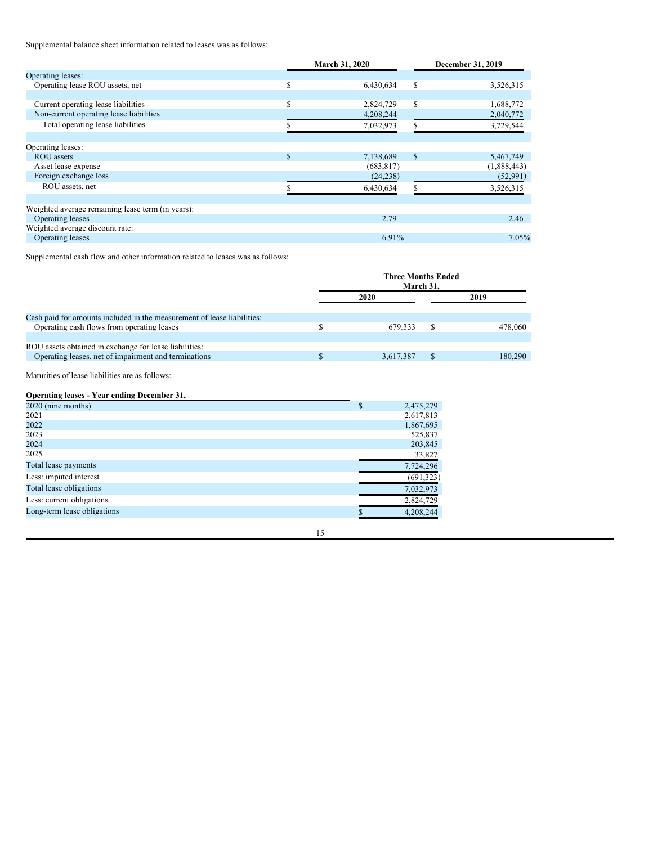Supplemental balance sheet information related to leases was as follows:

|                                                   |               | March 31, 2020 | December 31, 2019 |             |  |
|---------------------------------------------------|---------------|----------------|-------------------|-------------|--|
| Operating leases:                                 |               |                |                   |             |  |
| Operating lease ROU assets, net                   | \$            | 6,430,634      | S                 | 3,526,315   |  |
|                                                   |               |                |                   |             |  |
| Current operating lease liabilities               | <sup>\$</sup> | 2,824,729      | \$.               | 1,688,772   |  |
| Non-current operating lease liabilities           |               | 4,208,244      |                   | 2,040,772   |  |
| Total operating lease liabilities                 |               | 7,032,973      |                   | 3,729,544   |  |
|                                                   |               |                |                   |             |  |
| Operating leases:                                 |               |                |                   |             |  |
| <b>ROU</b> assets                                 | $\mathbf S$   | 7,138,689      | <sup>\$</sup>     | 5,467,749   |  |
| Asset lease expense                               |               | (683, 817)     |                   | (1,888,443) |  |
| Foreign exchange loss                             |               | (24, 238)      |                   | (52,991)    |  |
| ROU assets, net                                   |               | 6,430,634      |                   | 3,526,315   |  |
|                                                   |               |                |                   |             |  |
| Weighted average remaining lease term (in years): |               |                |                   |             |  |
| Operating leases                                  |               | 2.79           |                   | 2.46        |  |
| Weighted average discount rate:                   |               |                |                   |             |  |
| Operating leases                                  |               | 6.91%          |                   | 7.05%       |  |

Supplemental cash flow and other information related to leases was as follows:

|                                                                         | <b>Three Months Ended</b><br>March 31. |           |   |         |
|-------------------------------------------------------------------------|----------------------------------------|-----------|---|---------|
|                                                                         |                                        | 2020      |   | 2019    |
| Cash paid for amounts included in the measurement of lease liabilities: |                                        |           |   |         |
| Operating cash flows from operating leases                              |                                        | 679.333   | S | 478,060 |
| ROU assets obtained in exchange for lease liabilities:                  |                                        |           |   |         |
| Operating leases, net of impairment and terminations                    |                                        | 3.617.387 |   | 180,290 |

Maturities of lease liabilities are as follows:

### **Operating leases - Year ending December 31,**

| 2020 (nine months)          | \$<br>2,475,279 |
|-----------------------------|-----------------|
| 2021                        | 2,617,813       |
| 2022                        | 1,867,695       |
| 2023                        | 525,837         |
| 2024                        | 203,845         |
| 2025                        | 33,827          |
| Total lease payments        | 7,724,296       |
| Less: imputed interest      | (691, 323)      |
| Total lease obligations     | 7,032,973       |
| Less: current obligations   | 2,824,729       |
| Long-term lease obligations | 4,208,244       |
|                             |                 |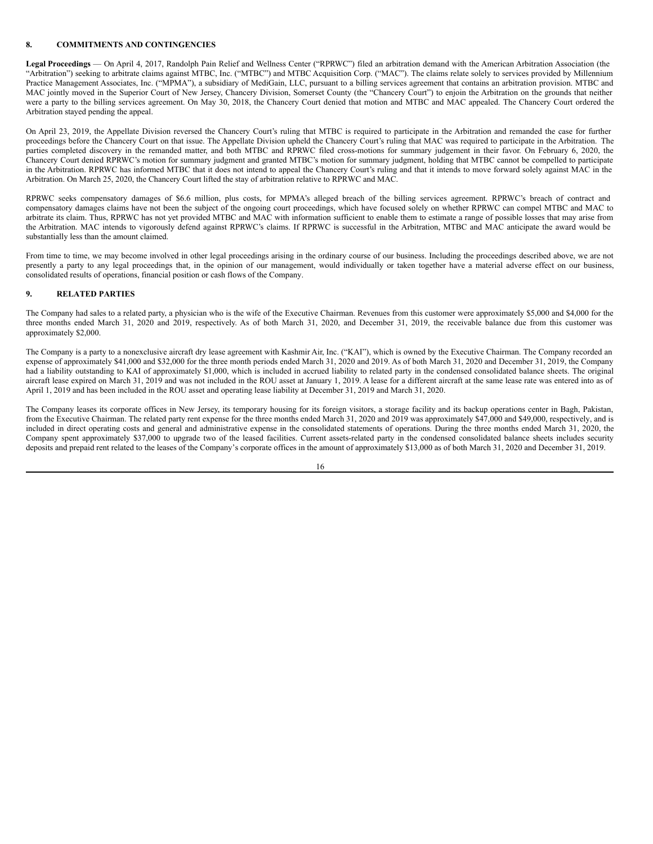### **8. COMMITMENTS AND CONTINGENCIES**

**Legal Proceedings** — On April 4, 2017, Randolph Pain Relief and Wellness Center ("RPRWC") filed an arbitration demand with the American Arbitration Association (the "Arbitration") seeking to arbitrate claims against MTBC, Inc. ("MTBC") and MTBC Acquisition Corp. ("MAC"). The claims relate solely to services provided by Millennium Practice Management Associates, Inc. ("MPMA"), a subsidiary of MediGain, LLC, pursuant to a billing services agreement that contains an arbitration provision. MTBC and MAC jointly moved in the Superior Court of New Jersey, Chancery Division, Somerset County (the "Chancery Court") to enjoin the Arbitration on the grounds that neither were a party to the billing services agreement. On May 30, 2018, the Chancery Court denied that motion and MTBC and MAC appealed. The Chancery Court ordered the Arbitration stayed pending the appeal.

On April 23, 2019, the Appellate Division reversed the Chancery Court's ruling that MTBC is required to participate in the Arbitration and remanded the case for further proceedings before the Chancery Court on that issue. The Appellate Division upheld the Chancery Court's ruling that MAC was required to participate in the Arbitration. The parties completed discovery in the remanded matter, and both MTBC and RPRWC filed cross-motions for summary judgement in their favor. On February 6, 2020, the Chancery Court denied RPRWC's motion for summary judgment and granted MTBC's motion for summary judgment, holding that MTBC cannot be compelled to participate in the Arbitration. RPRWC has informed MTBC that it does not intend to appeal the Chancery Court's ruling and that it intends to move forward solely against MAC in the Arbitration. On March 25, 2020, the Chancery Court lifted the stay of arbitration relative to RPRWC and MAC.

RPRWC seeks compensatory damages of \$6.6 million, plus costs, for MPMA's alleged breach of the billing services agreement. RPRWC's breach of contract and compensatory damages claims have not been the subject of the ongoing court proceedings, which have focused solely on whether RPRWC can compel MTBC and MAC to arbitrate its claim. Thus, RPRWC has not yet provided MTBC and MAC with information sufficient to enable them to estimate a range of possible losses that may arise from the Arbitration. MAC intends to vigorously defend against RPRWC's claims. If RPRWC is successful in the Arbitration, MTBC and MAC anticipate the award would be substantially less than the amount claimed.

From time to time, we may become involved in other legal proceedings arising in the ordinary course of our business. Including the proceedings described above, we are not presently a party to any legal proceedings that, in the opinion of our management, would individually or taken together have a material adverse effect on our business, consolidated results of operations, financial position or cash flows of the Company.

### **9. RELATED PARTIES**

The Company had sales to a related party, a physician who is the wife of the Executive Chairman. Revenues from this customer were approximately \$5,000 and \$4,000 for the three months ended March 31, 2020 and 2019, respectively. As of both March 31, 2020, and December 31, 2019, the receivable balance due from this customer was approximately \$2,000.

The Company is a party to a nonexclusive aircraft dry lease agreement with Kashmir Air, Inc. ("KAI"), which is owned by the Executive Chairman. The Company recorded an expense of approximately \$41,000 and \$32,000 for the three month periods ended March 31, 2020 and 2019. As of both March 31, 2020 and December 31, 2019, the Company had a liability outstanding to KAI of approximately \$1,000, which is included in accrued liability to related party in the condensed consolidated balance sheets. The original aircraft lease expired on March 31, 2019 and was not included in the ROU asset at January 1, 2019. A lease for a different aircraft at the same lease rate was entered into as of April 1, 2019 and has been included in the ROU asset and operating lease liability at December 31, 2019 and March 31, 2020.

The Company leases its corporate offices in New Jersey, its temporary housing for its foreign visitors, a storage facility and its backup operations center in Bagh, Pakistan, from the Executive Chairman. The related party rent expense for the three months ended March 31, 2020 and 2019 was approximately \$47,000 and \$49,000, respectively, and is included in direct operating costs and general and administrative expense in the consolidated statements of operations. During the three months ended March 31, 2020, the Company spent approximately \$37,000 to upgrade two of the leased facilities. Current assets-related party in the condensed consolidated balance sheets includes security deposits and prepaid rent related to the leases of the Company's corporate offices in the amount of approximately \$13,000 as of both March 31, 2020 and December 31, 2019.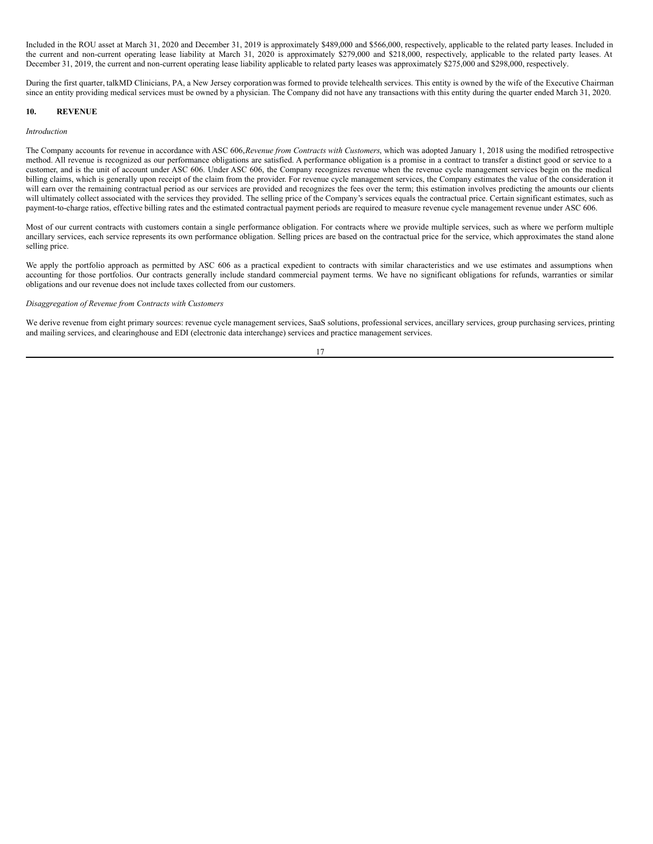Included in the ROU asset at March 31, 2020 and December 31, 2019 is approximately \$489,000 and \$566,000, respectively, applicable to the related party leases. Included in the current and non-current operating lease liability at March 31, 2020 is approximately \$279,000 and \$218,000, respectively, applicable to the related party leases. At December 31, 2019, the current and non-current operating lease liability applicable to related party leases was approximately \$275,000 and \$298,000, respectively.

During the first quarter, talkMD Clinicians, PA, a New Jersey corporationwas formed to provide telehealth services. This entity is owned by the wife of the Executive Chairman since an entity providing medical services must be owned by a physician. The Company did not have any transactions with this entity during the quarter ended March 31, 2020.

#### **10. REVENUE**

#### *Introduction*

The Company accounts for revenue in accordance with ASC 606,*Revenue from Contracts with Customers*, which was adopted January 1, 2018 using the modified retrospective method. All revenue is recognized as our performance obligations are satisfied. A performance obligation is a promise in a contract to transfer a distinct good or service to a customer, and is the unit of account under ASC 606. Under ASC 606, the Company recognizes revenue when the revenue cycle management services begin on the medical billing claims, which is generally upon receipt of the claim from the provider. For revenue cycle management services, the Company estimates the value of the consideration it will earn over the remaining contractual period as our services are provided and recognizes the fees over the term; this estimation involves predicting the amounts our clients will ultimately collect associated with the services they provided. The selling price of the Company's services equals the contractual price. Certain significant estimates, such as payment-to-charge ratios, effective billing rates and the estimated contractual payment periods are required to measure revenue cycle management revenue under ASC 606.

Most of our current contracts with customers contain a single performance obligation. For contracts where we provide multiple services, such as where we perform multiple ancillary services, each service represents its own performance obligation. Selling prices are based on the contractual price for the service, which approximates the stand alone selling price.

We apply the portfolio approach as permitted by ASC 606 as a practical expedient to contracts with similar characteristics and we use estimates and assumptions when accounting for those portfolios. Our contracts generally include standard commercial payment terms. We have no significant obligations for refunds, warranties or similar obligations and our revenue does not include taxes collected from our customers.

### *Disaggregation of Revenue from Contracts with Customers*

We derive revenue from eight primary sources: revenue cycle management services, SaaS solutions, professional services, ancillary services, group purchasing services, printing and mailing services, and clearinghouse and EDI (electronic data interchange) services and practice management services.

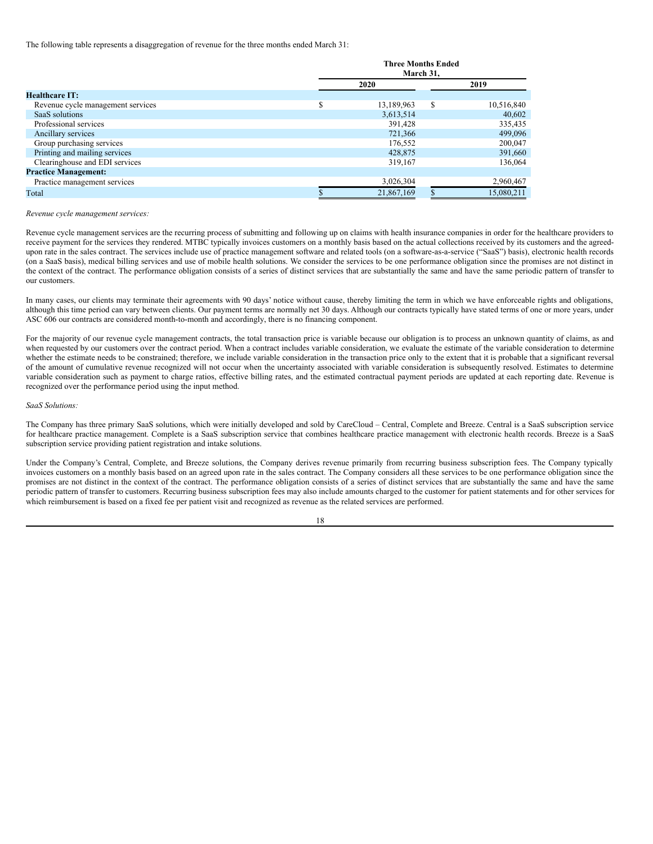The following table represents a disaggregation of revenue for the three months ended March 31:

|                                   | <b>Three Months Ended</b><br>March 31. |            |               |            |  |
|-----------------------------------|----------------------------------------|------------|---------------|------------|--|
|                                   |                                        | 2020       |               | 2019       |  |
| <b>Healthcare IT:</b>             |                                        |            |               |            |  |
| Revenue cycle management services |                                        | 13,189,963 | <sup>\$</sup> | 10,516,840 |  |
| SaaS solutions                    |                                        | 3,613,514  |               | 40,602     |  |
| Professional services             |                                        | 391,428    |               | 335,435    |  |
| Ancillary services                |                                        | 721,366    |               | 499,096    |  |
| Group purchasing services         |                                        | 176,552    |               | 200,047    |  |
| Printing and mailing services     |                                        | 428,875    |               | 391,660    |  |
| Clearinghouse and EDI services    |                                        | 319,167    |               | 136,064    |  |
| <b>Practice Management:</b>       |                                        |            |               |            |  |
| Practice management services      |                                        | 3,026,304  |               | 2,960,467  |  |
| Total                             |                                        | 21,867,169 |               | 15,080,211 |  |

#### *Revenue cycle management services:*

Revenue cycle management services are the recurring process of submitting and following up on claims with health insurance companies in order for the healthcare providers to receive payment for the services they rendered. MTBC typically invoices customers on a monthly basis based on the actual collections received by its customers and the agreedupon rate in the sales contract. The services include use of practice management software and related tools (on a software-as-a-service ("SaaS") basis), electronic health records (on a SaaS basis), medical billing services and use of mobile health solutions. We consider the services to be one performance obligation since the promises are not distinct in the context of the contract. The performance obligation consists of a series of distinct services that are substantially the same and have the same periodic pattern of transfer to our customers.

In many cases, our clients may terminate their agreements with 90 days' notice without cause, thereby limiting the term in which we have enforceable rights and obligations, although this time period can vary between clients. Our payment terms are normally net 30 days. Although our contracts typically have stated terms of one or more years, under ASC 606 our contracts are considered month-to-month and accordingly, there is no financing component.

For the majority of our revenue cycle management contracts, the total transaction price is variable because our obligation is to process an unknown quantity of claims, as and when requested by our customers over the contract period. When a contract includes variable consideration, we evaluate the estimate of the variable consideration to determine whether the estimate needs to be constrained; therefore, we include variable consideration in the transaction price only to the extent that it is probable that a significant reversal of the amount of cumulative revenue recognized will not occur when the uncertainty associated with variable consideration is subsequently resolved. Estimates to determine variable consideration such as payment to charge ratios, effective billing rates, and the estimated contractual payment periods are updated at each reporting date. Revenue is recognized over the performance period using the input method.

### *SaaS Solutions:*

The Company has three primary SaaS solutions, which were initially developed and sold by CareCloud – Central, Complete and Breeze. Central is a SaaS subscription service for healthcare practice management. Complete is a SaaS subscription service that combines healthcare practice management with electronic health records. Breeze is a SaaS subscription service providing patient registration and intake solutions.

Under the Company's Central, Complete, and Breeze solutions, the Company derives revenue primarily from recurring business subscription fees. The Company typically invoices customers on a monthly basis based on an agreed upon rate in the sales contract. The Company considers all these services to be one performance obligation since the promises are not distinct in the context of the contract. The performance obligation consists of a series of distinct services that are substantially the same and have the same periodic pattern of transfer to customers. Recurring business subscription fees may also include amounts charged to the customer for patient statements and for other services for which reimbursement is based on a fixed fee per patient visit and recognized as revenue as the related services are performed.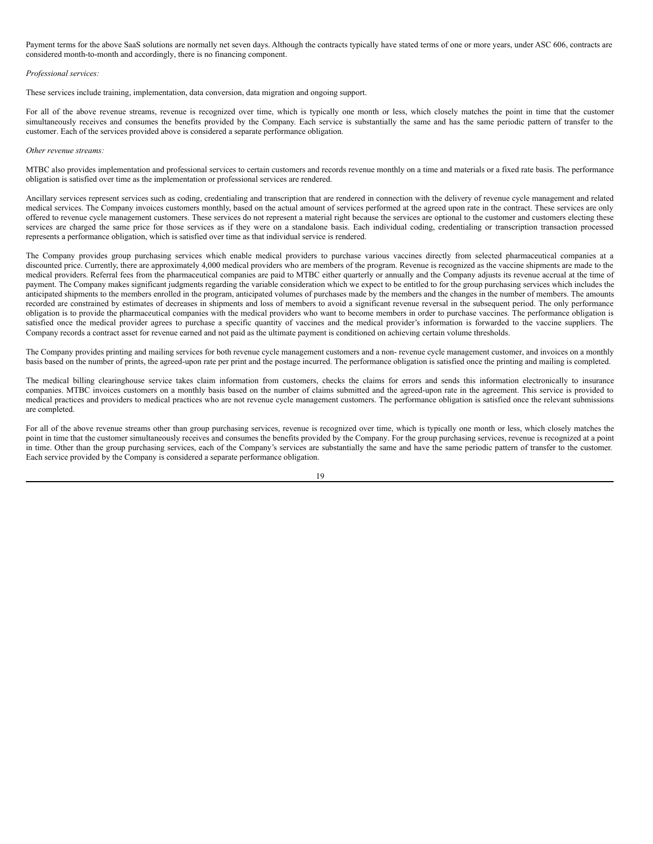Payment terms for the above SaaS solutions are normally net seven days. Although the contracts typically have stated terms of one or more years, under ASC 606, contracts are considered month-to-month and accordingly, there is no financing component.

### *Professional services:*

These services include training, implementation, data conversion, data migration and ongoing support.

For all of the above revenue streams, revenue is recognized over time, which is typically one month or less, which closely matches the point in time that the customer simultaneously receives and consumes the benefits provided by the Company. Each service is substantially the same and has the same periodic pattern of transfer to the customer. Each of the services provided above is considered a separate performance obligation.

#### *Other revenue streams:*

MTBC also provides implementation and professional services to certain customers and records revenue monthly on a time and materials or a fixed rate basis. The performance obligation is satisfied over time as the implementation or professional services are rendered.

Ancillary services represent services such as coding, credentialing and transcription that are rendered in connection with the delivery of revenue cycle management and related medical services. The Company invoices customers monthly, based on the actual amount of services performed at the agreed upon rate in the contract. These services are only offered to revenue cycle management customers. These services do not represent a material right because the services are optional to the customer and customers electing these services are charged the same price for those services as if they were on a standalone basis. Each individual coding, credentialing or transcription transaction processed represents a performance obligation, which is satisfied over time as that individual service is rendered.

The Company provides group purchasing services which enable medical providers to purchase various vaccines directly from selected pharmaceutical companies at a discounted price. Currently, there are approximately 4,000 medical providers who are members of the program. Revenue is recognized as the vaccine shipments are made to the medical providers. Referral fees from the pharmaceutical companies are paid to MTBC either quarterly or annually and the Company adjusts its revenue accrual at the time of payment. The Company makes significant judgments regarding the variable consideration which we expect to be entitled to for the group purchasing services which includes the anticipated shipments to the members enrolled in the program, anticipated volumes of purchases made by the members and the changes in the number of members. The amounts recorded are constrained by estimates of decreases in shipments and loss of members to avoid a significant revenue reversal in the subsequent period. The only performance obligation is to provide the pharmaceutical companies with the medical providers who want to become members in order to purchase vaccines. The performance obligation is satisfied once the medical provider agrees to purchase a specific quantity of vaccines and the medical provider's information is forwarded to the vaccine suppliers. The Company records a contract asset for revenue earned and not paid as the ultimate payment is conditioned on achieving certain volume thresholds.

The Company provides printing and mailing services for both revenue cycle management customers and a non- revenue cycle management customer, and invoices on a monthly basis based on the number of prints, the agreed-upon rate per print and the postage incurred. The performance obligation is satisfied once the printing and mailing is completed.

The medical billing clearinghouse service takes claim information from customers, checks the claims for errors and sends this information electronically to insurance companies. MTBC invoices customers on a monthly basis based on the number of claims submitted and the agreed-upon rate in the agreement. This service is provided to medical practices and providers to medical practices who are not revenue cycle management customers. The performance obligation is satisfied once the relevant submissions are completed.

For all of the above revenue streams other than group purchasing services, revenue is recognized over time, which is typically one month or less, which closely matches the point in time that the customer simultaneously receives and consumes the benefits provided by the Company. For the group purchasing services, revenue is recognized at a point in time. Other than the group purchasing services, each of the Company's services are substantially the same and have the same periodic pattern of transfer to the customer. Each service provided by the Company is considered a separate performance obligation.

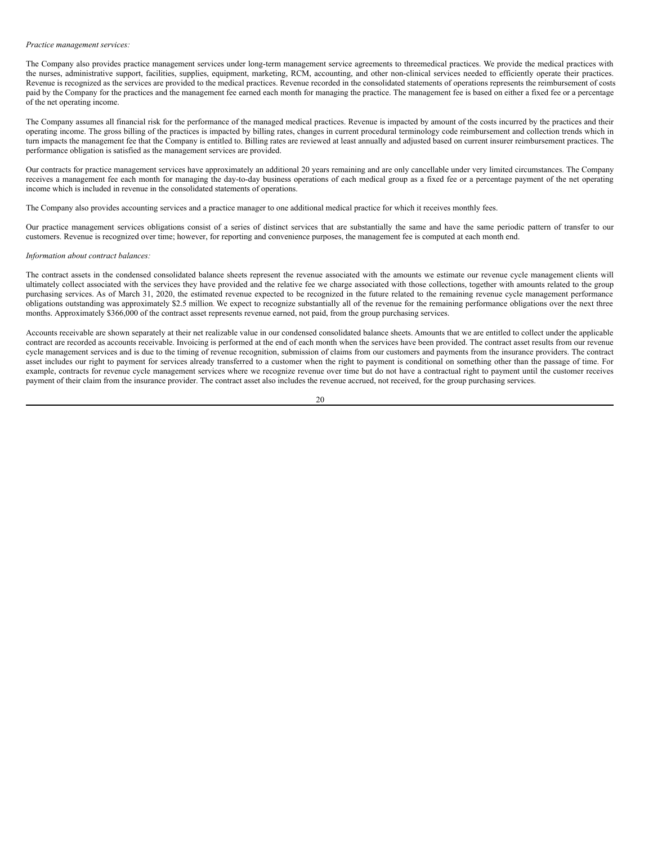### *Practice management services:*

The Company also provides practice management services under long-term management service agreements to threemedical practices. We provide the medical practices with the nurses, administrative support, facilities, supplies, equipment, marketing, RCM, accounting, and other non-clinical services needed to efficiently operate their practices. Revenue is recognized as the services are provided to the medical practices. Revenue recorded in the consolidated statements of operations represents the reimbursement of costs paid by the Company for the practices and the management fee earned each month for managing the practice. The management fee is based on either a fixed fee or a percentage of the net operating income.

The Company assumes all financial risk for the performance of the managed medical practices. Revenue is impacted by amount of the costs incurred by the practices and their operating income. The gross billing of the practices is impacted by billing rates, changes in current procedural terminology code reimbursement and collection trends which in turn impacts the management fee that the Company is entitled to. Billing rates are reviewed at least annually and adjusted based on current insurer reimbursement practices. The performance obligation is satisfied as the management services are provided.

Our contracts for practice management services have approximately an additional 20 years remaining and are only cancellable under very limited circumstances. The Company receives a management fee each month for managing the day-to-day business operations of each medical group as a fixed fee or a percentage payment of the net operating income which is included in revenue in the consolidated statements of operations.

The Company also provides accounting services and a practice manager to one additional medical practice for which it receives monthly fees.

Our practice management services obligations consist of a series of distinct services that are substantially the same and have the same periodic pattern of transfer to our customers. Revenue is recognized over time; however, for reporting and convenience purposes, the management fee is computed at each month end.

### *Information about contract balances:*

The contract assets in the condensed consolidated balance sheets represent the revenue associated with the amounts we estimate our revenue cycle management clients will ultimately collect associated with the services they have provided and the relative fee we charge associated with those collections, together with amounts related to the group purchasing services. As of March 31, 2020, the estimated revenue expected to be recognized in the future related to the remaining revenue cycle management performance obligations outstanding was approximately \$2.5 million. We expect to recognize substantially all of the revenue for the remaining performance obligations over the next three months. Approximately \$366,000 of the contract asset represents revenue earned, not paid, from the group purchasing services.

Accounts receivable are shown separately at their net realizable value in our condensed consolidated balance sheets. Amounts that we are entitled to collect under the applicable contract are recorded as accounts receivable. Invoicing is performed at the end of each month when the services have been provided. The contract asset results from our revenue cycle management services and is due to the timing of revenue recognition, submission of claims from our customers and payments from the insurance providers. The contract asset includes our right to payment for services already transferred to a customer when the right to payment is conditional on something other than the passage of time. For example, contracts for revenue cycle management services where we recognize revenue over time but do not have a contractual right to payment until the customer receives payment of their claim from the insurance provider. The contract asset also includes the revenue accrued, not received, for the group purchasing services.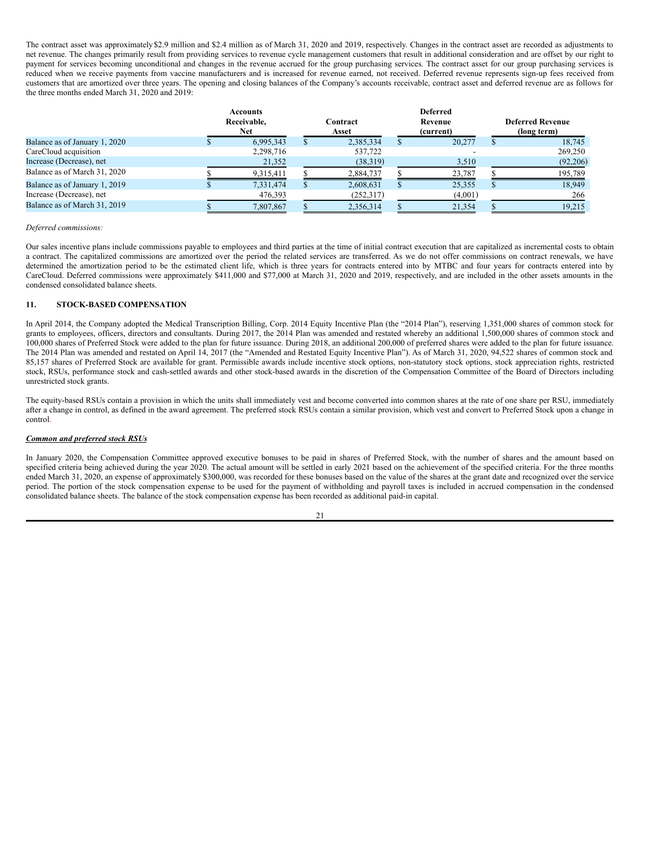The contract asset was approximately\$2.9 million and \$2.4 million as of March 31, 2020 and 2019, respectively. Changes in the contract asset are recorded as adjustments to net revenue. The changes primarily result from providing services to revenue cycle management customers that result in additional consideration and are offset by our right to payment for services becoming unconditional and changes in the revenue accrued for the group purchasing services. The contract asset for our group purchasing services is reduced when we receive payments from vaccine manufacturers and is increased for revenue earned, not received. Deferred revenue represents sign-up fees received from customers that are amortized over three years. The opening and closing balances of the Company's accounts receivable, contract asset and deferred revenue are as follows for the three months ended March 31, 2020 and 2019:

|                               | Accounts<br>Receivable.<br><b>Net</b> | Contract<br>Asset | <b>Deferred</b><br>Revenue<br>(current) | <b>Deferred Revenue</b><br>(long term) |
|-------------------------------|---------------------------------------|-------------------|-----------------------------------------|----------------------------------------|
| Balance as of January 1, 2020 | 6.995.343                             | 2,385,334         | 20,277                                  | 18.745                                 |
| CareCloud acquisition         | 2,298,716                             | 537,722           |                                         | 269,250                                |
| Increase (Decrease), net      | 21,352                                | (38,319)          | 3,510                                   | (92,206)                               |
| Balance as of March 31, 2020  | 9,315,411                             | 2,884,737         | 23,787                                  | 195,789                                |
| Balance as of January 1, 2019 | 7,331,474                             | 2,608,631         | 25,355                                  | 18.949                                 |
| Increase (Decrease), net      | 476,393                               | (252,317)         | (4,001)                                 | 266                                    |
| Balance as of March 31, 2019  | 7.807.867                             | 2,356,314         | 21,354                                  | 19.215                                 |

### *Deferred commissions:*

Our sales incentive plans include commissions payable to employees and third parties at the time of initial contract execution that are capitalized as incremental costs to obtain a contract. The capitalized commissions are amortized over the period the related services are transferred. As we do not offer commissions on contract renewals, we have determined the amortization period to be the estimated client life, which is three years for contracts entered into by MTBC and four years for contracts entered into by CareCloud. Deferred commissions were approximately \$411,000 and \$77,000 at March 31, 2020 and 2019, respectively, and are included in the other assets amounts in the condensed consolidated balance sheets.

### **11. STOCK-BASED COMPENSATION**

In April 2014, the Company adopted the Medical Transcription Billing, Corp. 2014 Equity Incentive Plan (the "2014 Plan"), reserving 1,351,000 shares of common stock for grants to employees, officers, directors and consultants. During 2017, the 2014 Plan was amended and restated whereby an additional 1,500,000 shares of common stock and 100,000 shares of Preferred Stock were added to the plan for future issuance. During 2018, an additional 200,000 of preferred shares were added to the plan for future issuance. The 2014 Plan was amended and restated on April 14, 2017 (the "Amended and Restated Equity Incentive Plan"). As of March 31, 2020, 94,522 shares of common stock and 85,157 shares of Preferred Stock are available for grant. Permissible awards include incentive stock options, non-statutory stock options, stock appreciation rights, restricted stock, RSUs, performance stock and cash-settled awards and other stock-based awards in the discretion of the Compensation Committee of the Board of Directors including unrestricted stock grants.

The equity-based RSUs contain a provision in which the units shall immediately vest and become converted into common shares at the rate of one share per RSU, immediately after a change in control, as defined in the award agreement. The preferred stock RSUs contain a similar provision, which vest and convert to Preferred Stock upon a change in control.

### *Common and preferred stock RSUs*

In January 2020, the Compensation Committee approved executive bonuses to be paid in shares of Preferred Stock, with the number of shares and the amount based on specified criteria being achieved during the year 2020. The actual amount will be settled in early 2021 based on the achievement of the specified criteria. For the three months ended March 31, 2020, an expense of approximately \$300,000, was recorded for these bonuses based on the value of the shares at the grant date and recognized over the service period. The portion of the stock compensation expense to be used for the payment of withholding and payroll taxes is included in accrued compensation in the condensed consolidated balance sheets. The balance of the stock compensation expense has been recorded as additional paid-in capital.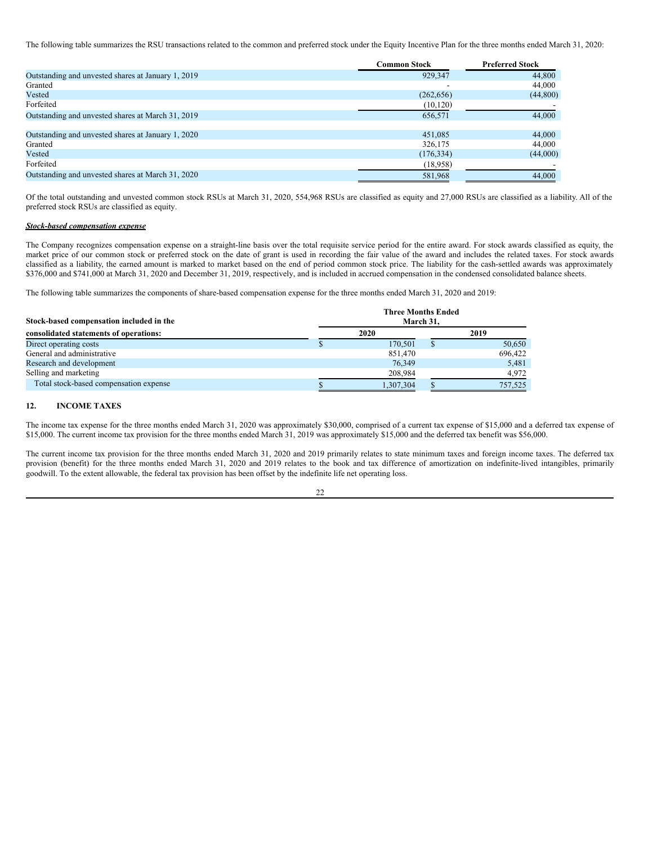The following table summarizes the RSU transactions related to the common and preferred stock under the Equity Incentive Plan for the three months ended March 31, 2020:

|                                                    | <b>Common Stock</b> | <b>Preferred Stock</b> |
|----------------------------------------------------|---------------------|------------------------|
| Outstanding and unvested shares at January 1, 2019 | 929.347             | 44,800                 |
| Granted                                            |                     | 44,000                 |
| Vested                                             | (262, 656)          | (44,800)               |
| Forfeited                                          | (10, 120)           |                        |
| Outstanding and unvested shares at March 31, 2019  | 656,571             | 44,000                 |
| Outstanding and unvested shares at January 1, 2020 | 451,085             | 44,000                 |
| Granted                                            | 326,175             | 44,000                 |
| Vested                                             | (176, 334)          | (44,000)               |
| Forfeited                                          | (18,958)            |                        |
| Outstanding and unvested shares at March 31, 2020  | 581,968             | 44,000                 |

Of the total outstanding and unvested common stock RSUs at March 31, 2020, 554,968 RSUs are classified as equity and 27,000 RSUs are classified as a liability. All of the preferred stock RSUs are classified as equity.

#### *Stock-based compensation expense*

The Company recognizes compensation expense on a straight-line basis over the total requisite service period for the entire award. For stock awards classified as equity, the market price of our common stock or preferred stock on the date of grant is used in recording the fair value of the award and includes the related taxes. For stock awards classified as a liability, the earned amount is marked to market based on the end of period common stock price. The liability for the cash-settled awards was approximately \$376,000 and \$741,000 at March 31, 2020 and December 31, 2019, respectively, and is included in accrued compensation in the condensed consolidated balance sheets.

The following table summarizes the components of share-based compensation expense for the three months ended March 31, 2020 and 2019:

| Stock-based compensation included in the | <b>Three Months Ended</b><br>March 31. |         |
|------------------------------------------|----------------------------------------|---------|
| consolidated statements of operations:   | 2020                                   | 2019    |
| Direct operating costs                   | 170.501                                | 50,650  |
| General and administrative               | 851,470                                | 696,422 |
| Research and development                 | 76.349                                 | 5,481   |
| Selling and marketing                    | 208,984                                | 4,972   |
| Total stock-based compensation expense   | 1,307,304                              | 757,525 |

### **12. INCOME TAXES**

The income tax expense for the three months ended March 31, 2020 was approximately \$30,000, comprised of a current tax expense of \$15,000 and a deferred tax expense of \$15,000. The current income tax provision for the three months ended March 31, 2019 was approximately \$15,000 and the deferred tax benefit was \$56,000.

The current income tax provision for the three months ended March 31, 2020 and 2019 primarily relates to state minimum taxes and foreign income taxes. The deferred tax provision (benefit) for the three months ended March 31, 2020 and 2019 relates to the book and tax difference of amortization on indefinite-lived intangibles, primarily goodwill. To the extent allowable, the federal tax provision has been offset by the indefinite life net operating loss.

| I | ٧<br>٦ |
|---|--------|
|   |        |
|   |        |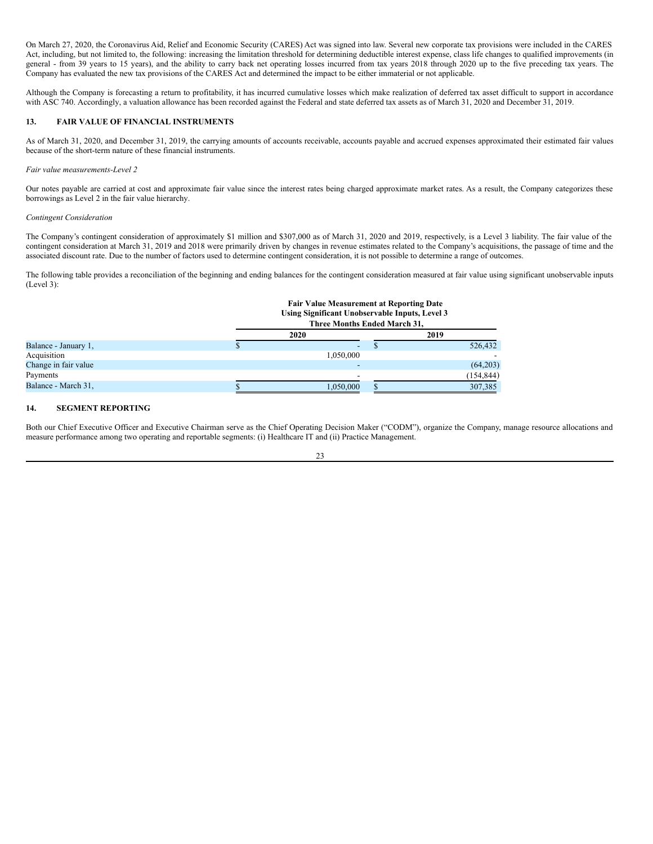On March 27, 2020, the Coronavirus Aid, Relief and Economic Security (CARES) Act was signed into law. Several new corporate tax provisions were included in the CARES Act, including, but not limited to, the following: increasing the limitation threshold for determining deductible interest expense, class life changes to qualified improvements (in general - from 39 years to 15 years), and the ability to carry back net operating losses incurred from tax years 2018 through 2020 up to the five preceding tax years. The Company has evaluated the new tax provisions of the CARES Act and determined the impact to be either immaterial or not applicable.

Although the Company is forecasting a return to profitability, it has incurred cumulative losses which make realization of deferred tax asset difficult to support in accordance with ASC 740. Accordingly, a valuation allowance has been recorded against the Federal and state deferred tax assets as of March 31, 2020 and December 31, 2019.

### **13. FAIR VALUE OF FINANCIAL INSTRUMENTS**

As of March 31, 2020, and December 31, 2019, the carrying amounts of accounts receivable, accounts payable and accrued expenses approximated their estimated fair values because of the short-term nature of these financial instruments.

### *Fair value measurements-Level 2*

Our notes payable are carried at cost and approximate fair value since the interest rates being charged approximate market rates. As a result, the Company categorizes these borrowings as Level 2 in the fair value hierarchy.

#### *Contingent Consideration*

The Company's contingent consideration of approximately \$1 million and \$307,000 as of March 31, 2020 and 2019, respectively, is a Level 3 liability. The fair value of the contingent consideration at March 31, 2019 and 2018 were primarily driven by changes in revenue estimates related to the Company's acquisitions, the passage of time and the associated discount rate. Due to the number of factors used to determine contingent consideration, it is not possible to determine a range of outcomes.

The following table provides a reconciliation of the beginning and ending balances for the contingent consideration measured at fair value using significant unobservable inputs (Level 3):

**Fair Value Measurement at Reporting Date**

| 2020      | 2019 |                                                                                                                           |  |
|-----------|------|---------------------------------------------------------------------------------------------------------------------------|--|
| -         |      | 526,432                                                                                                                   |  |
| 1,050,000 |      |                                                                                                                           |  |
|           |      | (64,203)                                                                                                                  |  |
|           |      | (154, 844)                                                                                                                |  |
| 1.050.000 |      | 307.385                                                                                                                   |  |
|           |      | Tan Value Measurement at Reporting Date<br>Using Significant Unobservable Inputs, Level 3<br>Three Months Ended March 31, |  |

### **14. SEGMENT REPORTING**

Both our Chief Executive Officer and Executive Chairman serve as the Chief Operating Decision Maker ("CODM"), organize the Company, manage resource allocations and measure performance among two operating and reportable segments: (i) Healthcare IT and (ii) Practice Management.

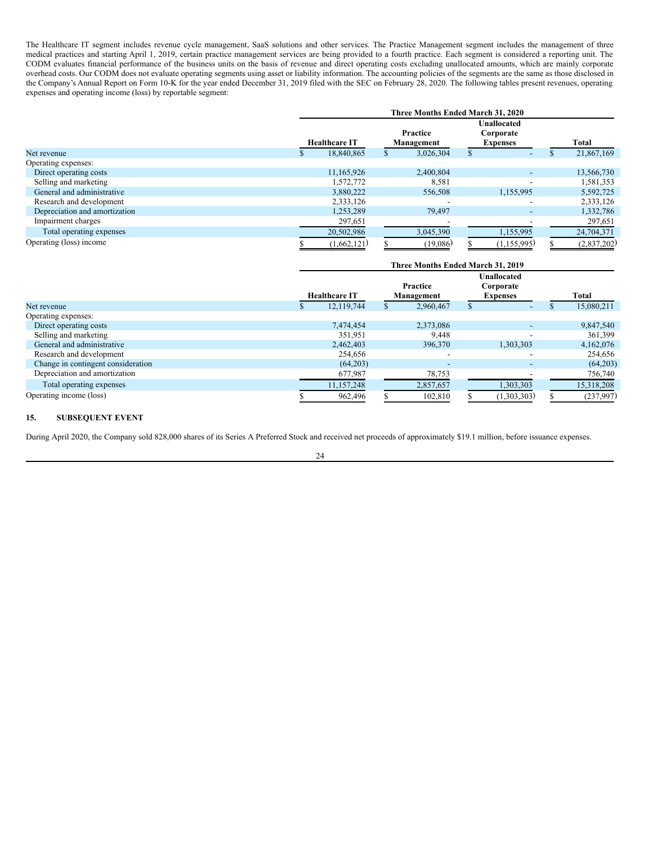The Healthcare IT segment includes revenue cycle management, SaaS solutions and other services. The Practice Management segment includes the management of three medical practices and starting April 1, 2019, certain practice management services are being provided to a fourth practice. Each segment is considered a reporting unit. The CODM evaluates financial performance of the business units on the basis of revenue and direct operating costs excluding unallocated amounts, which are mainly corporate overhead costs. Our CODM does not evaluate operating segments using asset or liability information. The accounting policies of the segments are the same as those disclosed in the Company's Annual Report on Form 10-K for the year ended December 31, 2019 filed with the SEC on February 28, 2020. The following tables present revenues, operating expenses and operating income (loss) by reportable segment:

|                               | Three Months Ended March 31, 2020 |                      |  |                        |  |                                                    |  |              |  |
|-------------------------------|-----------------------------------|----------------------|--|------------------------|--|----------------------------------------------------|--|--------------|--|
|                               |                                   | <b>Healthcare IT</b> |  | Practice<br>Management |  | <b>Unallocated</b><br>Corporate<br><b>Expenses</b> |  | <b>Total</b> |  |
| Net revenue                   |                                   | 18.840.865           |  | 3,026,304              |  |                                                    |  | 21,867,169   |  |
| Operating expenses:           |                                   |                      |  |                        |  |                                                    |  |              |  |
| Direct operating costs        |                                   | 11.165.926           |  | 2,400,804              |  |                                                    |  | 13,566,730   |  |
| Selling and marketing         |                                   | 1.572.772            |  | 8,581                  |  |                                                    |  | 1,581,353    |  |
| General and administrative    |                                   | 3.880.222            |  | 556,508                |  | 1,155,995                                          |  | 5,592,725    |  |
| Research and development      |                                   | 2,333,126            |  |                        |  |                                                    |  | 2,333,126    |  |
| Depreciation and amortization |                                   | 1,253,289            |  | 79,497                 |  | $\overline{\phantom{0}}$                           |  | 1,332,786    |  |
| Impairment charges            |                                   | 297,651              |  |                        |  |                                                    |  | 297,651      |  |
| Total operating expenses      |                                   | 20,502,986           |  | 3,045,390              |  | 1,155,995                                          |  | 24,704,371   |  |
| Operating (loss) income       |                                   | (1,662,121)          |  | (19,086)               |  | (1,155,995)                                        |  | (2,837,202)  |  |

|                                    | Three Months Ended March 31, 2019 |  |                          |  |                                                    |  |            |  |  |
|------------------------------------|-----------------------------------|--|--------------------------|--|----------------------------------------------------|--|------------|--|--|
|                                    | <b>Healthcare IT</b>              |  | Practice<br>Management   |  | <b>Unallocated</b><br>Corporate<br><b>Expenses</b> |  | Total      |  |  |
| Net revenue                        | 12,119,744                        |  | 2,960,467                |  |                                                    |  | 15,080,211 |  |  |
| Operating expenses:                |                                   |  |                          |  |                                                    |  |            |  |  |
| Direct operating costs             | 7.474.454                         |  | 2,373,086                |  |                                                    |  | 9,847,540  |  |  |
| Selling and marketing              | 351,951                           |  | 9,448                    |  |                                                    |  | 361,399    |  |  |
| General and administrative         | 2,462,403                         |  | 396,370                  |  | 1,303,303                                          |  | 4,162,076  |  |  |
| Research and development           | 254,656                           |  | -                        |  |                                                    |  | 254,656    |  |  |
| Change in contingent consideration | (64,203)                          |  | $\overline{\phantom{0}}$ |  |                                                    |  | (64,203)   |  |  |
| Depreciation and amortization      | 677,987                           |  | 78,753                   |  |                                                    |  | 756,740    |  |  |
| Total operating expenses           | 11,157,248                        |  | 2,857,657                |  | 1,303,303                                          |  | 15,318,208 |  |  |
| Operating income (loss)            | 962,496                           |  | 102.810                  |  | (1,303,303)                                        |  | (237,997)  |  |  |

### **15. SUBSEQUENT EVENT**

During April 2020, the Company sold 828,000 shares of its Series A Preferred Stock and received net proceeds of approximately \$19.1 million, before issuance expenses.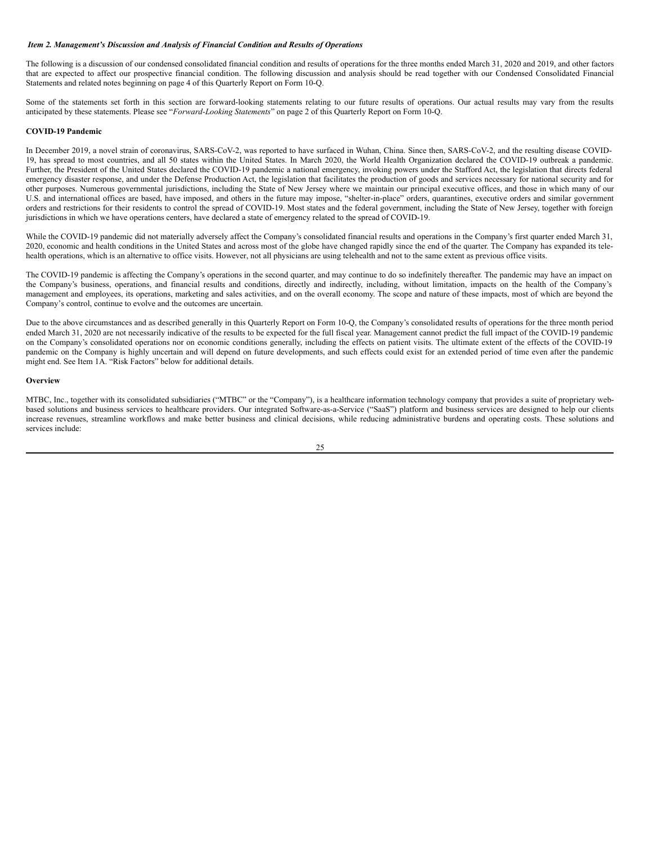### <span id="page-25-0"></span>*Item 2. Management's Discussion and Analysis of Financial Condition and Results of Operations*

The following is a discussion of our condensed consolidated financial condition and results of operations for the three months ended March 31, 2020 and 2019, and other factors that are expected to affect our prospective financial condition. The following discussion and analysis should be read together with our Condensed Consolidated Financial Statements and related notes beginning on page 4 of this Quarterly Report on Form 10-Q.

Some of the statements set forth in this section are forward-looking statements relating to our future results of operations. Our actual results may vary from the results anticipated by these statements. Please see "*Forward-Looking Statements*" on page 2 of this Quarterly Report on Form 10-Q.

#### **COVID-19 Pandemic**

In December 2019, a novel strain of coronavirus, SARS-CoV-2, was reported to have surfaced in Wuhan, China. Since then, SARS-CoV-2, and the resulting disease COVID-19, has spread to most countries, and all 50 states within the United States. In March 2020, the World Health Organization declared the COVID-19 outbreak a pandemic. Further, the President of the United States declared the COVID-19 pandemic a national emergency, invoking powers under the Stafford Act, the legislation that directs federal emergency disaster response, and under the Defense Production Act, the legislation that facilitates the production of goods and services necessary for national security and for other purposes. Numerous governmental jurisdictions, including the State of New Jersey where we maintain our principal executive offices, and those in which many of our U.S. and international offices are based, have imposed, and others in the future may impose, "shelter-in-place" orders, quarantines, executive orders and similar government orders and restrictions for their residents to control the spread of COVID-19. Most states and the federal government, including the State of New Jersey, together with foreign jurisdictions in which we have operations centers, have declared a state of emergency related to the spread of COVID-19.

While the COVID-19 pandemic did not materially adversely affect the Company's consolidated financial results and operations in the Company's first quarter ended March 31, 2020, economic and health conditions in the United States and across most of the globe have changed rapidly since the end of the quarter. The Company has expanded its telehealth operations, which is an alternative to office visits. However, not all physicians are using telehealth and not to the same extent as previous office visits.

The COVID-19 pandemic is affecting the Company's operations in the second quarter, and may continue to do so indefinitely thereafter. The pandemic may have an impact on the Company's business, operations, and financial results and conditions, directly and indirectly, including, without limitation, impacts on the health of the Company's management and employees, its operations, marketing and sales activities, and on the overall economy. The scope and nature of these impacts, most of which are beyond the Company's control, continue to evolve and the outcomes are uncertain.

Due to the above circumstances and as described generally in this Quarterly Report on Form 10-Q, the Company's consolidated results of operations for the three month period ended March 31, 2020 are not necessarily indicative of the results to be expected for the full fiscal year. Management cannot predict the full impact of the COVID-19 pandemic on the Company's consolidated operations nor on economic conditions generally, including the effects on patient visits. The ultimate extent of the effects of the COVID-19 pandemic on the Company is highly uncertain and will depend on future developments, and such effects could exist for an extended period of time even after the pandemic might end. See Item 1A. "Risk Factors" below for additional details.

#### **Overview**

MTBC, Inc., together with its consolidated subsidiaries ("MTBC" or the "Company"), is a healthcare information technology company that provides a suite of proprietary webbased solutions and business services to healthcare providers. Our integrated Software-as-a-Service ("SaaS") platform and business services are designed to help our clients increase revenues, streamline workflows and make better business and clinical decisions, while reducing administrative burdens and operating costs. These solutions and services include:

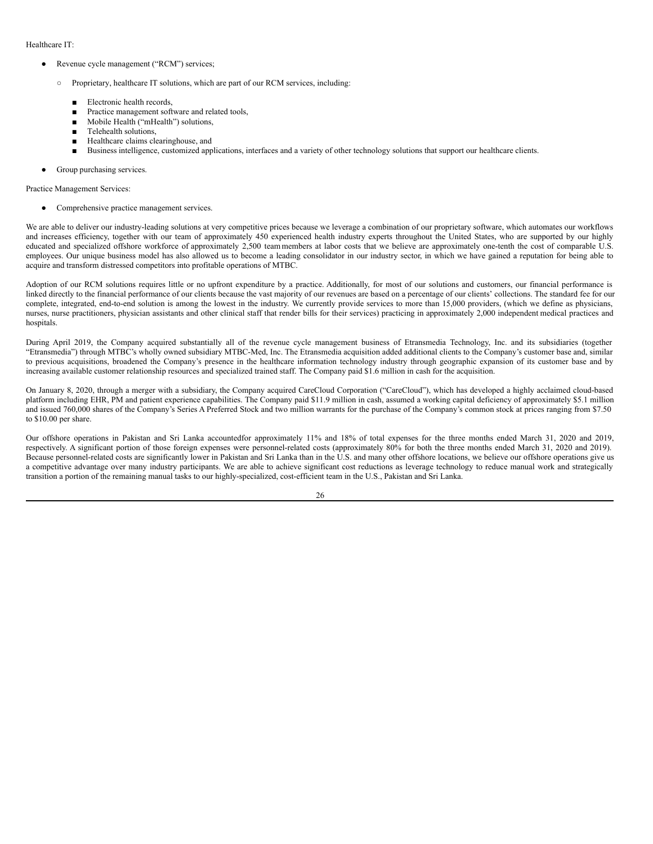Healthcare IT:

- Revenue cycle management ("RCM") services;
	- Proprietary, healthcare IT solutions, which are part of our RCM services, including:
		- *■* Electronic health records,
		- Practice management software and related tools,
		- *■* Mobile Health ("mHealth") solutions,
		- *■* Telehealth solutions,
		- *■* Healthcare claims clearinghouse, and
		- Business intelligence, customized applications, interfaces and a variety of other technology solutions that support our healthcare clients.
- Group purchasing services.

Practice Management Services:

Comprehensive practice management services.

We are able to deliver our industry-leading solutions at very competitive prices because we leverage a combination of our proprietary software, which automates our workflows and increases efficiency, together with our team of approximately 450 experienced health industry experts throughout the United States, who are supported by our highly educated and specialized offshore workforce of approximately 2,500 team members at labor costs that we believe are approximately one-tenth the cost of comparable U.S. employees. Our unique business model has also allowed us to become a leading consolidator in our industry sector, in which we have gained a reputation for being able to acquire and transform distressed competitors into profitable operations of MTBC.

Adoption of our RCM solutions requires little or no upfront expenditure by a practice. Additionally, for most of our solutions and customers, our financial performance is linked directly to the financial performance of our clients because the vast majority of our revenues are based on a percentage of our clients' collections. The standard fee for our complete, integrated, end-to-end solution is among the lowest in the industry. We currently provide services to more than 15,000 providers, (which we define as physicians, nurses, nurse practitioners, physician assistants and other clinical staff that render bills for their services) practicing in approximately 2,000 independent medical practices and hospitals.

During April 2019, the Company acquired substantially all of the revenue cycle management business of Etransmedia Technology, Inc. and its subsidiaries (together "Etransmedia") through MTBC's wholly owned subsidiary MTBC-Med, Inc. The Etransmedia acquisition added additional clients to the Company's customer base and, similar to previous acquisitions, broadened the Company's presence in the healthcare information technology industry through geographic expansion of its customer base and by increasing available customer relationship resources and specialized trained staff. The Company paid \$1.6 million in cash for the acquisition.

On January 8, 2020, through a merger with a subsidiary, the Company acquired CareCloud Corporation ("CareCloud"), which has developed a highly acclaimed cloud-based platform including EHR, PM and patient experience capabilities. The Company paid \$11.9 million in cash, assumed a working capital deficiency of approximately \$5.1 million and issued 760,000 shares of the Company's Series A Preferred Stock and two million warrants for the purchase of the Company's common stock at prices ranging from \$7.50 to \$10.00 per share.

Our offshore operations in Pakistan and Sri Lanka accountedfor approximately 11% and 18% of total expenses for the three months ended March 31, 2020 and 2019, respectively. A significant portion of those foreign expenses were personnel-related costs (approximately 80% for both the three months ended March 31, 2020 and 2019). Because personnel-related costs are significantly lower in Pakistan and Sri Lanka than in the U.S. and many other offshore locations, we believe our offshore operations give us a competitive advantage over many industry participants. We are able to achieve significant cost reductions as leverage technology to reduce manual work and strategically transition a portion of the remaining manual tasks to our highly-specialized, cost-efficient team in the U.S., Pakistan and Sri Lanka.

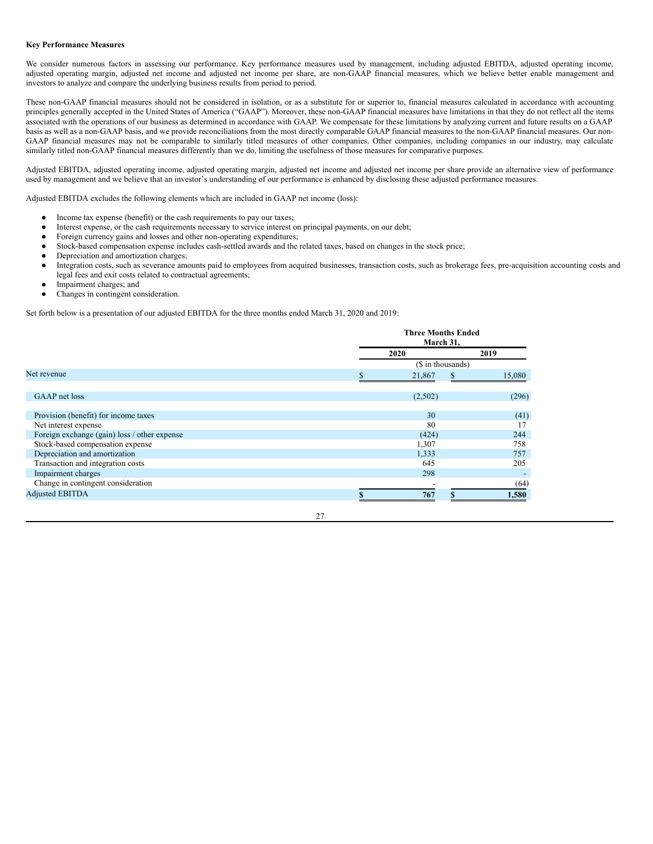### **Key Performance Measures**

We consider numerous factors in assessing our performance. Key performance measures used by management, including adjusted EBITDA, adjusted operating income, adjusted operating margin, adjusted net income and adjusted net income per share, are non-GAAP financial measures, which we believe better enable management and investors to analyze and compare the underlying business results from period to period.

These non-GAAP financial measures should not be considered in isolation, or as a substitute for or superior to, financial measures calculated in accordance with accounting principles generally accepted in the United States of America ("GAAP"). Moreover, these non-GAAP financial measures have limitations in that they do not reflect all the items associated with the operations of our business as determined in accordance with GAAP. We compensate for these limitations by analyzing current and future results on a GAAP basis as well as a non-GAAP basis, and we provide reconciliations from the most directly comparable GAAP financial measures to the non-GAAP financial measures. Our non-GAAP financial measures may not be comparable to similarly titled measures of other companies. Other companies, including companies in our industry, may calculate similarly titled non-GAAP financial measures differently than we do, limiting the usefulness of those measures for comparative purposes.

Adjusted EBITDA, adjusted operating income, adjusted operating margin, adjusted net income and adjusted net income per share provide an alternative view of performance used by management and we believe that an investor's understanding of our performance is enhanced by disclosing these adjusted performance measures.

Adjusted EBITDA excludes the following elements which are included in GAAP net income (loss):

- Income tax expense (benefit) or the cash requirements to pay our taxes;
- Interest expense, or the cash requirements necessary to service interest on principal payments, on our debt;
- Foreign currency gains and losses and other non-operating expenditures;
- Stock-based compensation expense includes cash-settled awards and the related taxes, based on changes in the stock price;
- Depreciation and amortization charges;
- Integration costs, such as severance amounts paid to employees from acquired businesses, transaction costs, such as brokerage fees, pre-acquisition accounting costs and legal fees and exit costs related to contractual agreements;
- Impairment charges; and
- Changes in contingent consideration.

Set forth below is a presentation of our adjusted EBITDA for the three months ended March 31, 2020 and 2019:

|                                              | <b>Three Months Ended</b><br>March 31, |  |        |  |  |
|----------------------------------------------|----------------------------------------|--|--------|--|--|
|                                              | 2020                                   |  |        |  |  |
|                                              | (\$ in thousands)                      |  |        |  |  |
| Net revenue                                  | 21,867                                 |  | 15,080 |  |  |
|                                              |                                        |  |        |  |  |
| GAAP net loss                                | (2,502)                                |  | (296)  |  |  |
| Provision (benefit) for income taxes         | 30                                     |  | (41)   |  |  |
| Net interest expense                         | 80                                     |  | 17     |  |  |
| Foreign exchange (gain) loss / other expense | (424)                                  |  | 244    |  |  |
| Stock-based compensation expense             | 1,307                                  |  | 758    |  |  |
| Depreciation and amortization                | 1,333                                  |  | 757    |  |  |
| Transaction and integration costs            | 645                                    |  | 205    |  |  |
| Impairment charges                           | 298                                    |  |        |  |  |
| Change in contingent consideration           |                                        |  | (64)   |  |  |
| <b>Adjusted EBITDA</b>                       | 767                                    |  | 1,580  |  |  |
|                                              |                                        |  |        |  |  |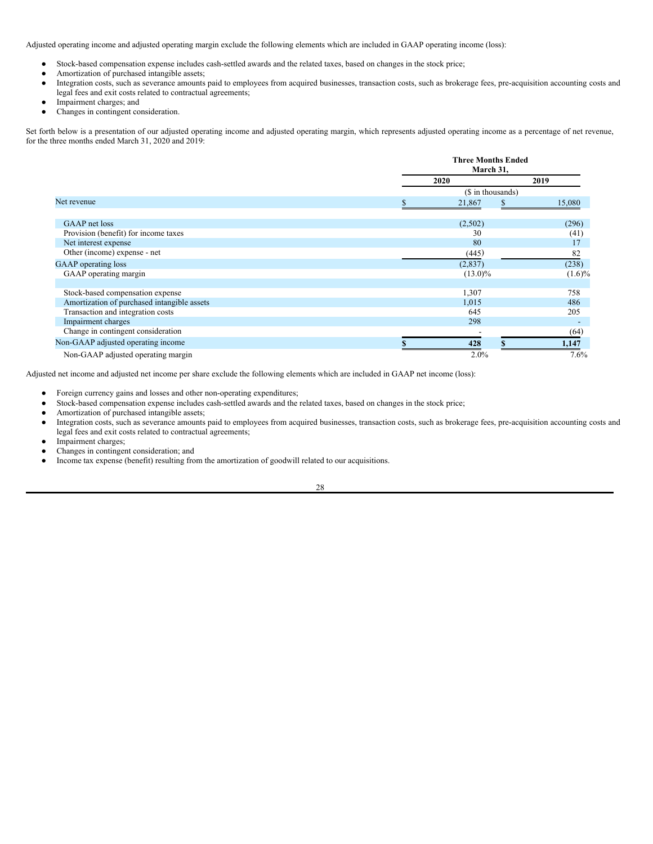Adjusted operating income and adjusted operating margin exclude the following elements which are included in GAAP operating income (loss):

- Stock-based compensation expense includes cash-settled awards and the related taxes, based on changes in the stock price;
- Amortization of purchased intangible assets;
- Integration costs, such as severance amounts paid to employees from acquired businesses, transaction costs, such as brokerage fees, pre-acquisition accounting costs and legal fees and exit costs related to contractual agreements;
- Impairment charges; and
- Changes in contingent consideration.

Set forth below is a presentation of our adjusted operating income and adjusted operating margin, which represents adjusted operating income as a percentage of net revenue, for the three months ended March 31, 2020 and 2019:

|                                             | <b>Three Months Ended</b><br>March 31, |           |  |  |  |
|---------------------------------------------|----------------------------------------|-----------|--|--|--|
|                                             | 2020                                   | 2019      |  |  |  |
|                                             | (\$ in thousands)                      |           |  |  |  |
| Net revenue                                 | 21,867                                 | 15,080    |  |  |  |
|                                             |                                        |           |  |  |  |
| GAAP net loss                               | (2,502)                                | (296)     |  |  |  |
| Provision (benefit) for income taxes        | 30                                     | (41)      |  |  |  |
| Net interest expense                        | 80                                     | 17        |  |  |  |
| Other (income) expense - net                | (445)                                  | 82        |  |  |  |
| <b>GAAP</b> operating loss                  | (2,837)                                | (238)     |  |  |  |
| GAAP operating margin                       | $(13.0)\%$                             | $(1.6)\%$ |  |  |  |
|                                             |                                        |           |  |  |  |
| Stock-based compensation expense            | 1,307                                  | 758       |  |  |  |
| Amortization of purchased intangible assets | 1,015                                  | 486       |  |  |  |
| Transaction and integration costs           | 645                                    | 205       |  |  |  |
| Impairment charges                          | 298                                    |           |  |  |  |
| Change in contingent consideration          |                                        | (64)      |  |  |  |
| Non-GAAP adjusted operating income          | 428                                    | 1,147     |  |  |  |
| Non-GAAP adjusted operating margin          | 2.0%                                   | 7.6%      |  |  |  |

Adjusted net income and adjusted net income per share exclude the following elements which are included in GAAP net income (loss):

- Foreign currency gains and losses and other non-operating expenditures;
- Stock-based compensation expense includes cash-settled awards and the related taxes, based on changes in the stock price;
- Amortization of purchased intangible assets;
- Integration costs, such as severance amounts paid to employees from acquired businesses, transaction costs, such as brokerage fees, pre-acquisition accounting costs and legal fees and exit costs related to contractual agreements;
- Impairment charges;
- Changes in contingent consideration; and
- Income tax expense (benefit) resulting from the amortization of goodwill related to our acquisitions.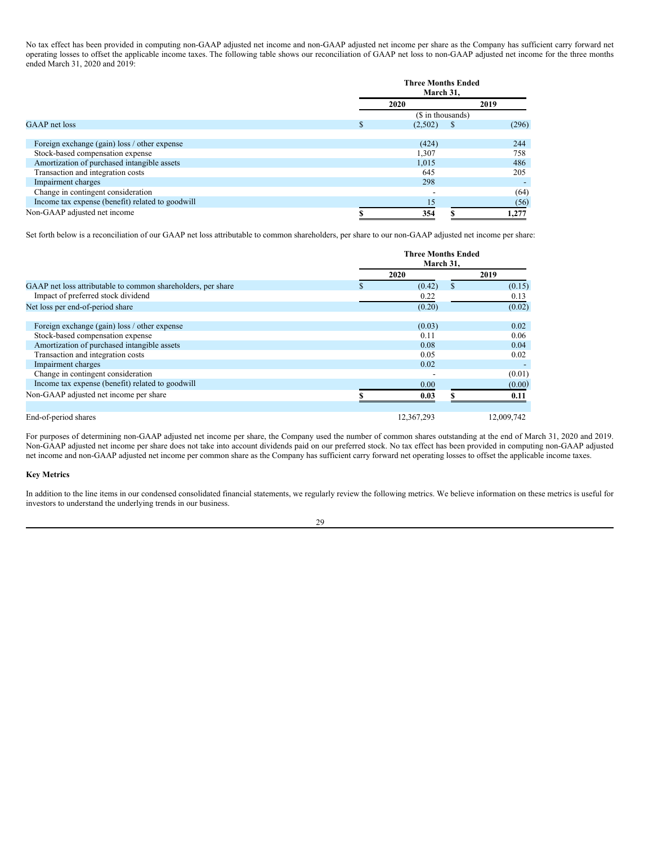No tax effect has been provided in computing non-GAAP adjusted net income and non-GAAP adjusted net income per share as the Company has sufficient carry forward net operating losses to offset the applicable income taxes. The following table shows our reconciliation of GAAP net loss to non-GAAP adjusted net income for the three months ended March 31, 2020 and 2019:

|                                                  | <b>Three Months Ended</b><br>March 31, |   |       |  |  |
|--------------------------------------------------|----------------------------------------|---|-------|--|--|
|                                                  | 2020                                   |   | 2019  |  |  |
|                                                  | (\$ in thousands)                      |   |       |  |  |
| GAAP net loss                                    | (2,502)                                | S | (296) |  |  |
|                                                  |                                        |   |       |  |  |
| Foreign exchange (gain) loss / other expense     | (424)                                  |   | 244   |  |  |
| Stock-based compensation expense                 | 1,307                                  |   | 758   |  |  |
| Amortization of purchased intangible assets      | 1,015                                  |   | 486   |  |  |
| Transaction and integration costs                | 645                                    |   | 205   |  |  |
| Impairment charges                               | 298                                    |   |       |  |  |
| Change in contingent consideration               | -                                      |   | (64)  |  |  |
| Income tax expense (benefit) related to goodwill | 15                                     |   | (56)  |  |  |
| Non-GAAP adjusted net income                     | 354                                    |   | 1,277 |  |  |

Set forth below is a reconciliation of our GAAP net loss attributable to common shareholders, per share to our non-GAAP adjusted net income per share:

|                                                              | <b>Three Months Ended</b><br>March 31, |   |            |
|--------------------------------------------------------------|----------------------------------------|---|------------|
|                                                              | 2020                                   |   | 2019       |
| GAAP net loss attributable to common shareholders, per share | (0.42)                                 | S | (0.15)     |
| Impact of preferred stock dividend                           | 0.22                                   |   | 0.13       |
| Net loss per end-of-period share                             | (0.20)                                 |   | (0.02)     |
|                                                              |                                        |   |            |
| Foreign exchange (gain) loss / other expense                 | (0.03)                                 |   | 0.02       |
| Stock-based compensation expense                             | 0.11                                   |   | 0.06       |
| Amortization of purchased intangible assets                  | 0.08                                   |   | 0.04       |
| Transaction and integration costs                            | 0.05                                   |   | 0.02       |
| Impairment charges                                           | 0.02                                   |   |            |
| Change in contingent consideration                           | $\overline{\phantom{0}}$               |   | (0.01)     |
| Income tax expense (benefit) related to goodwill             | 0.00                                   |   | (0.00)     |
| Non-GAAP adjusted net income per share                       | 0.03                                   |   | 0.11       |
|                                                              |                                        |   |            |
| End-of-period shares                                         | 12.367.293                             |   | 12,009,742 |

For purposes of determining non-GAAP adjusted net income per share, the Company used the number of common shares outstanding at the end of March 31, 2020 and 2019. Non-GAAP adjusted net income per share does not take into account dividends paid on our preferred stock. No tax effect has been provided in computing non-GAAP adjusted net income and non-GAAP adjusted net income per common share as the Company has sufficient carry forward net operating losses to offset the applicable income taxes.

### **Key Metrics**

In addition to the line items in our condensed consolidated financial statements, we regularly review the following metrics. We believe information on these metrics is useful for investors to understand the underlying trends in our business.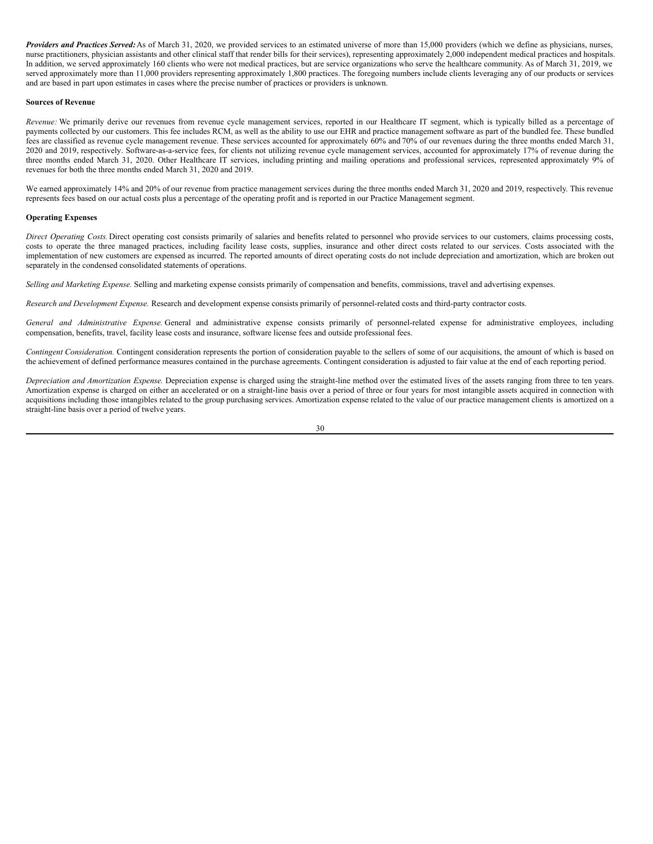*Providers and Practices Served:*As of March 31, 2020, we provided services to an estimated universe of more than 15,000 providers (which we define as physicians, nurses, nurse practitioners, physician assistants and other clinical staff that render bills for their services), representing approximately 2,000 independent medical practices and hospitals. In addition, we served approximately 160 clients who were not medical practices, but are service organizations who serve the healthcare community. As of March 31, 2019, we served approximately more than 11,000 providers representing approximately 1,800 practices. The foregoing numbers include clients leveraging any of our products or services and are based in part upon estimates in cases where the precise number of practices or providers is unknown.

### **Sources of Revenue**

*Revenue:* We primarily derive our revenues from revenue cycle management services, reported in our Healthcare IT segment, which is typically billed as a percentage of payments collected by our customers. This fee includes RCM, as well as the ability to use our EHR and practice management software as part of the bundled fee. These bundled fees are classified as revenue cycle management revenue. These services accounted for approximately 60% and 70% of our revenues during the three months ended March 31, 2020 and 2019, respectively. Software-as-a-service fees, for clients not utilizing revenue cycle management services, accounted for approximately 17% of revenue during the three months ended March 31, 2020. Other Healthcare IT services, including printing and mailing operations and professional services, represented approximately 9% of revenues for both the three months ended March 31, 2020 and 2019.

We earned approximately 14% and 20% of our revenue from practice management services during the three months ended March 31, 2020 and 2019, respectively. This revenue represents fees based on our actual costs plus a percentage of the operating profit and is reported in our Practice Management segment.

### **Operating Expenses**

*Direct Operating Costs.*Direct operating cost consists primarily of salaries and benefits related to personnel who provide services to our customers, claims processing costs, costs to operate the three managed practices, including facility lease costs, supplies, insurance and other direct costs related to our services. Costs associated with the implementation of new customers are expensed as incurred. The reported amounts of direct operating costs do not include depreciation and amortization, which are broken out separately in the condensed consolidated statements of operations.

*Selling and Marketing Expense.* Selling and marketing expense consists primarily of compensation and benefits, commissions, travel and advertising expenses.

*Research and Development Expense.* Research and development expense consists primarily of personnel-related costs and third-party contractor costs.

*General and Administrative Expense.* General and administrative expense consists primarily of personnel-related expense for administrative employees, including compensation, benefits, travel, facility lease costs and insurance, software license fees and outside professional fees.

*Contingent Consideration.* Contingent consideration represents the portion of consideration payable to the sellers of some of our acquisitions, the amount of which is based on the achievement of defined performance measures contained in the purchase agreements. Contingent consideration is adjusted to fair value at the end of each reporting period.

*Depreciation and Amortization Expense.* Depreciation expense is charged using the straight-line method over the estimated lives of the assets ranging from three to ten years. Amortization expense is charged on either an accelerated or on a straight-line basis over a period of three or four years for most intangible assets acquired in connection with acquisitions including those intangibles related to the group purchasing services. Amortization expense related to the value of our practice management clients is amortized on a straight-line basis over a period of twelve years.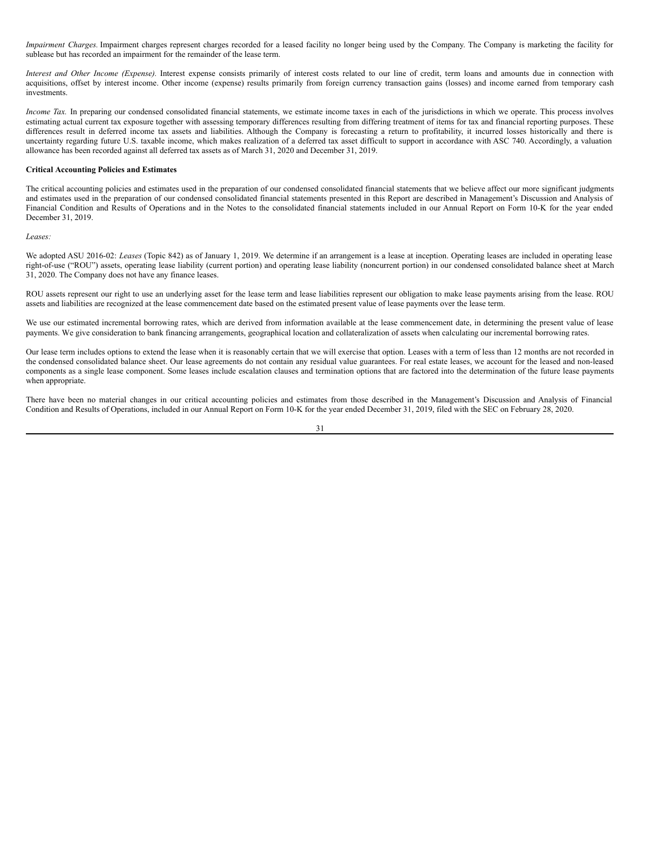*Impairment Charges.* Impairment charges represent charges recorded for a leased facility no longer being used by the Company. The Company is marketing the facility for sublease but has recorded an impairment for the remainder of the lease term.

*Interest and Other Income (Expense).* Interest expense consists primarily of interest costs related to our line of credit, term loans and amounts due in connection with acquisitions, offset by interest income. Other income (expense) results primarily from foreign currency transaction gains (losses) and income earned from temporary cash investments.

*Income Tax.* In preparing our condensed consolidated financial statements, we estimate income taxes in each of the jurisdictions in which we operate. This process involves estimating actual current tax exposure together with assessing temporary differences resulting from differing treatment of items for tax and financial reporting purposes. These differences result in deferred income tax assets and liabilities. Although the Company is forecasting a return to profitability, it incurred losses historically and there is uncertainty regarding future U.S. taxable income, which makes realization of a deferred tax asset difficult to support in accordance with ASC 740. Accordingly, a valuation allowance has been recorded against all deferred tax assets as of March 31, 2020 and December 31, 2019.

### **Critical Accounting Policies and Estimates**

The critical accounting policies and estimates used in the preparation of our condensed consolidated financial statements that we believe affect our more significant judgments and estimates used in the preparation of our condensed consolidated financial statements presented in this Report are described in Management's Discussion and Analysis of Financial Condition and Results of Operations and in the Notes to the consolidated financial statements included in our Annual Report on Form 10-K for the year ended December 31, 2019.

#### *Leases:*

We adopted ASU 2016-02: *Leases* (Topic 842) as of January 1, 2019. We determine if an arrangement is a lease at inception. Operating leases are included in operating lease right-of-use ("ROU") assets, operating lease liability (current portion) and operating lease liability (noncurrent portion) in our condensed consolidated balance sheet at March 31, 2020. The Company does not have any finance leases.

ROU assets represent our right to use an underlying asset for the lease term and lease liabilities represent our obligation to make lease payments arising from the lease. ROU assets and liabilities are recognized at the lease commencement date based on the estimated present value of lease payments over the lease term.

We use our estimated incremental borrowing rates, which are derived from information available at the lease commencement date, in determining the present value of lease payments. We give consideration to bank financing arrangements, geographical location and collateralization of assets when calculating our incremental borrowing rates.

Our lease term includes options to extend the lease when it is reasonably certain that we will exercise that option. Leases with a term of less than 12 months are not recorded in the condensed consolidated balance sheet. Our lease agreements do not contain any residual value guarantees. For real estate leases, we account for the leased and non-leased components as a single lease component. Some leases include escalation clauses and termination options that are factored into the determination of the future lease payments when appropriate.

There have been no material changes in our critical accounting policies and estimates from those described in the Management's Discussion and Analysis of Financial Condition and Results of Operations, included in our Annual Report on Form 10-K for the year ended December 31, 2019, filed with the SEC on February 28, 2020.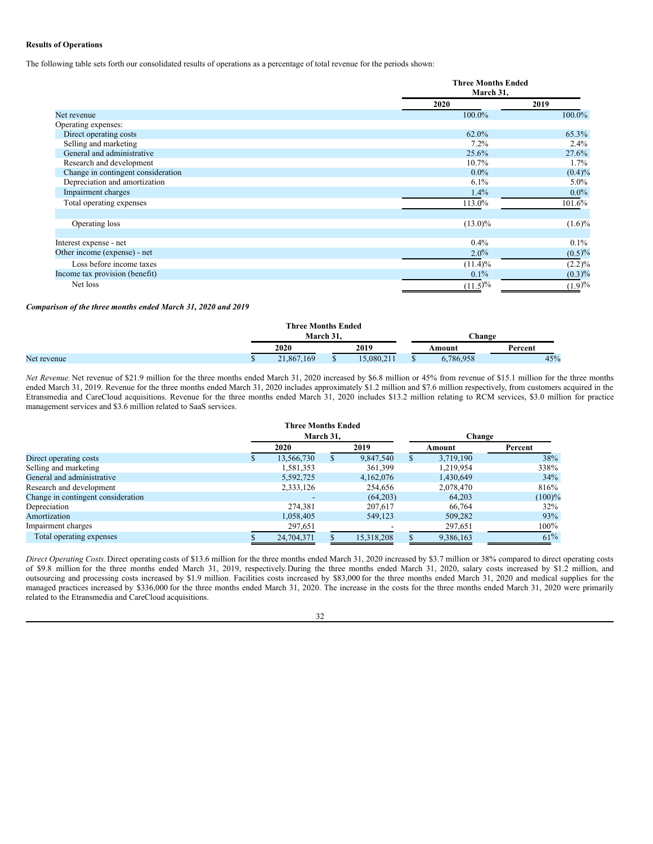### **Results of Operations**

The following table sets forth our consolidated results of operations as a percentage of total revenue for the periods shown:

|                                    | <b>Three Months Ended</b><br>March 31, |           |
|------------------------------------|----------------------------------------|-----------|
|                                    | 2020                                   | 2019      |
| Net revenue                        | 100.0%                                 | 100.0%    |
| Operating expenses:                |                                        |           |
| Direct operating costs             | 62.0%                                  | 65.3%     |
| Selling and marketing              | 7.2%                                   | $2.4\%$   |
| General and administrative         | $25.6\%$                               | 27.6%     |
| Research and development           | $10.7\%$                               | 1.7%      |
| Change in contingent consideration | $0.0\%$                                | $(0.4)\%$ |
| Depreciation and amortization      | $6.1\%$                                | $5.0\%$   |
| Impairment charges                 | $1.4\%$                                | $0.0\%$   |
| Total operating expenses           | 113.0%                                 | 101.6%    |
| Operating loss                     | $(13.0)\%$                             | $(1.6)\%$ |
| Interest expense - net             | $0.4\%$                                | $0.1\%$   |
| Other income (expense) - net       | $2.0\%$                                | $(0.5)\%$ |
| Loss before income taxes           | $(11.4)\%$                             | $(2.2)\%$ |
| Income tax provision (benefit)     | $0.1\%$                                | $(0.3)\%$ |
| Net loss                           | $(11.5)\%$                             | (1.9)%    |

### *Comparison of the three months ended March 31, 2020 and 2019*

|             | <b>Three Months Ended</b> |  |           |  |               |         |  |
|-------------|---------------------------|--|-----------|--|---------------|---------|--|
|             | March 31.                 |  |           |  | <b>Change</b> |         |  |
|             | 2019<br>2020              |  |           |  | Amount        | Percent |  |
| Net revenue | 21,867,169                |  | 5.080.211 |  | 6.786.958     | 45%     |  |

*Net Revenue.* Net revenue of \$21.9 million for the three months ended March 31, 2020 increased by \$6.8 million or 45% from revenue of \$15.1 million for the three months ended March 31, 2019. Revenue for the three months ended March 31, 2020 includes approximately \$1.2 million and \$7.6 million respectively, from customers acquired in the Etransmedia and CareCloud acquisitions. Revenue for the three months ended March 31, 2020 includes \$13.2 million relating to RCM services, \$3.0 million for practice management services and \$3.6 million related to SaaS services.

|                                    | <b>Three Months Ended</b> |           |            |  |           |           |  |  |
|------------------------------------|---------------------------|-----------|------------|--|-----------|-----------|--|--|
|                                    |                           | March 31. |            |  | Change    |           |  |  |
|                                    | 2020                      |           | 2019       |  | Amount    | Percent   |  |  |
| Direct operating costs             | 13,566,730                |           | 9,847,540  |  | 3,719,190 | 38%       |  |  |
| Selling and marketing              | 1,581,353                 |           | 361,399    |  | 1,219,954 | 338%      |  |  |
| General and administrative         | 5,592,725                 |           | 4,162,076  |  | 1,430,649 | 34%       |  |  |
| Research and development           | 2,333,126                 |           | 254,656    |  | 2,078,470 | 816%      |  |  |
| Change in contingent consideration |                           |           | (64,203)   |  | 64,203    | $(100)\%$ |  |  |
| Depreciation                       | 274,381                   |           | 207,617    |  | 66.764    | 32%       |  |  |
| Amortization                       | 1,058,405                 |           | 549,123    |  | 509,282   | 93%       |  |  |
| Impairment charges                 | 297,651                   |           |            |  | 297,651   | $100\%$   |  |  |
| Total operating expenses           | 24,704,371                |           | 15.318.208 |  | 9,386,163 | $61\%$    |  |  |

*Direct Operating Costs.*Direct operating costs of \$13.6 million for the three months ended March 31, 2020 increased by \$3.7 million or 38% compared to direct operating costs of \$9.8 million for the three months ended March 31, 2019, respectively.During the three months ended March 31, 2020, salary costs increased by \$1.2 million, and outsourcing and processing costs increased by \$1.9 million. Facilities costs increased by \$83,000 for the three months ended March 31, 2020 and medical supplies for the managed practices increased by \$336,000 for the three months ended March 31, 2020. The increase in the costs for the three months ended March 31, 2020 were primarily related to the Etransmedia and CareCloud acquisitions.

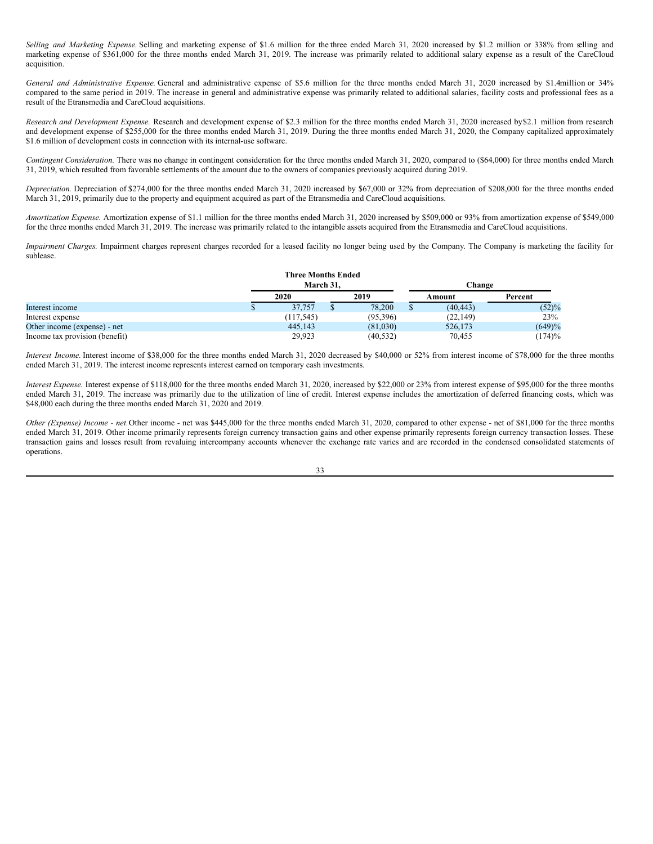*Selling and Marketing Expense.* Selling and marketing expense of \$1.6 million for the three ended March 31, 2020 increased by \$1.2 million or 338% from selling and marketing expense of \$361,000 for the three months ended March 31, 2019. The increase was primarily related to additional salary expense as a result of the CareCloud acquisition.

*General and Administrative Expense.* General and administrative expense of \$5.6 million for the three months ended March 31, 2020 increased by \$1.4million or 34% compared to the same period in 2019. The increase in general and administrative expense was primarily related to additional salaries, facility costs and professional fees as a result of the Etransmedia and CareCloud acquisitions.

*Research and Development Expense.* Research and development expense of \$2.3 million for the three months ended March 31, 2020 increased by\$2.1 million from research and development expense of \$255,000 for the three months ended March 31, 2019. During the three months ended March 31, 2020, the Company capitalized approximately \$1.6 million of development costs in connection with its internal-use software.

*Contingent Consideration.* There was no change in contingent consideration for the three months ended March 31, 2020, compared to (\$64,000) for three months ended March 31, 2019, which resulted from favorable settlements of the amount due to the owners of companies previously acquired during 2019.

*Depreciation.* Depreciation of \$274,000 for the three months ended March 31, 2020 increased by \$67,000 or 32% from depreciation of \$208,000 for the three months ended March 31, 2019, primarily due to the property and equipment acquired as part of the Etransmedia and CareCloud acquisitions.

*Amortization Expense.* Amortization expense of \$1.1 million for the three months ended March 31, 2020 increased by \$509,000 or 93% from amortization expense of \$549,000 for the three months ended March 31, 2019. The increase was primarily related to the intangible assets acquired from the Etransmedia and CareCloud acquisitions.

*Impairment Charges.* Impairment charges represent charges recorded for a leased facility no longer being used by the Company. The Company is marketing the facility for sublease.

|                                | <b>Three Months Ended</b><br>March 31. |            |  |           |  | Change    |         |  |
|--------------------------------|----------------------------------------|------------|--|-----------|--|-----------|---------|--|
|                                |                                        | 2020       |  | 2019      |  | Amount    | Percent |  |
| Interest income                |                                        | 37,757     |  | 78,200    |  | (40, 443) | (52)%   |  |
| Interest expense               |                                        | (117, 545) |  | (95,396)  |  | (22, 149) | 23%     |  |
| Other income (expense) - net   |                                        | 445,143    |  | (81,030)  |  | 526,173   | (649)%  |  |
| Income tax provision (benefit) |                                        | 29,923     |  | (40, 532) |  | 70,455    | (174)%  |  |

*Interest Income.* Interest income of \$38,000 for the three months ended March 31, 2020 decreased by \$40,000 or 52% from interest income of \$78,000 for the three months ended March 31, 2019. The interest income represents interest earned on temporary cash investments.

*Interest Expense.* Interest expense of \$118,000 for the three months ended March 31, 2020, increased by \$22,000 or 23% from interest expense of \$95,000 for the three months ended March 31, 2019. The increase was primarily due to the utilization of line of credit. Interest expense includes the amortization of deferred financing costs, which was \$48,000 each during the three months ended March 31, 2020 and 2019.

*Other (Expense) Income - net.*Other income - net was \$445,000 for the three months ended March 31, 2020, compared to other expense - net of \$81,000 for the three months ended March 31, 2019. Other income primarily represents foreign currency transaction gains and other expense primarily represents foreign currency transaction losses. These transaction gains and losses result from revaluing intercompany accounts whenever the exchange rate varies and are recorded in the condensed consolidated statements of operations.

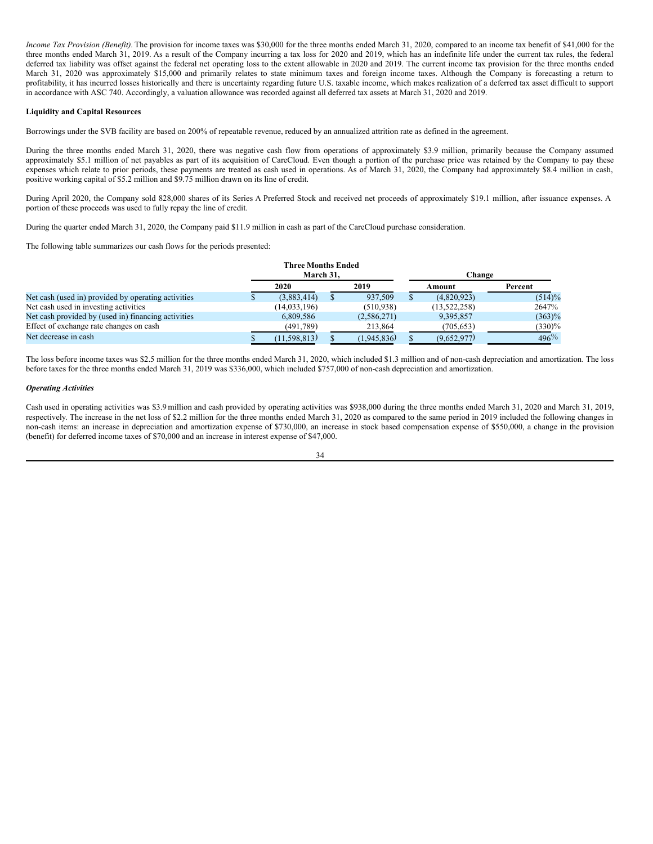*Income Tax Provision (Benefit).* The provision for income taxes was \$30,000 for the three months ended March 31, 2020, compared to an income tax benefit of \$41,000 for the three months ended March 31, 2019. As a result of the Company incurring a tax loss for 2020 and 2019, which has an indefinite life under the current tax rules, the federal deferred tax liability was offset against the federal net operating loss to the extent allowable in 2020 and 2019. The current income tax provision for the three months ended March 31, 2020 was approximately \$15,000 and primarily relates to state minimum taxes and foreign income taxes. Although the Company is forecasting a return to profitability, it has incurred losses historically and there is uncertainty regarding future U.S. taxable income, which makes realization of a deferred tax asset difficult to support in accordance with ASC 740. Accordingly, a valuation allowance was recorded against all deferred tax assets at March 31, 2020 and 2019.

### **Liquidity and Capital Resources**

Borrowings under the SVB facility are based on 200% of repeatable revenue, reduced by an annualized attrition rate as defined in the agreement.

During the three months ended March 31, 2020, there was negative cash flow from operations of approximately \$3.9 million, primarily because the Company assumed approximately \$5.1 million of net payables as part of its acquisition of CareCloud. Even though a portion of the purchase price was retained by the Company to pay these expenses which relate to prior periods, these payments are treated as cash used in operations. As of March 31, 2020, the Company had approximately \$8.4 million in cash, positive working capital of \$5.2 million and \$9.75 million drawn on its line of credit.

During April 2020, the Company sold 828,000 shares of its Series A Preferred Stock and received net proceeds of approximately \$19.1 million, after issuance expenses. A portion of these proceeds was used to fully repay the line of credit.

During the quarter ended March 31, 2020, the Company paid \$11.9 million in cash as part of the CareCloud purchase consideration.

The following table summarizes our cash flows for the periods presented:

|                                                     | <b>Three Months Ended</b> |             |        |              |           |  |
|-----------------------------------------------------|---------------------------|-------------|--------|--------------|-----------|--|
|                                                     | March 31.                 |             | Change |              |           |  |
|                                                     | 2020                      | 2019        |        | Amount       | Percent   |  |
| Net cash (used in) provided by operating activities | (3,883,414)               | 937,509     |        | (4,820,923)  | $(514)\%$ |  |
| Net cash used in investing activities               | (14, 033, 196)            | (510.938)   |        | (13,522,258) | 2647%     |  |
| Net cash provided by (used in) financing activities | 6.809.586                 | (2,586,271) |        | 9,395,857    | $(363)\%$ |  |
| Effect of exchange rate changes on cash             | (491.789)                 | 213.864     |        | (705, 653)   | $(330)\%$ |  |
| Net decrease in cash                                | (11, 598, 813)            | (1,945,836) |        | (9,652,977)  | $496\%$   |  |

The loss before income taxes was \$2.5 million for the three months ended March 31, 2020, which included \$1.3 million and of non-cash depreciation and amortization. The loss before taxes for the three months ended March 31, 2019 was \$336,000, which included \$757,000 of non-cash depreciation and amortization.

### *Operating Activities*

Cash used in operating activities was \$3.9million and cash provided by operating activities was \$938,000 during the three months ended March 31, 2020 and March 31, 2019, respectively. The increase in the net loss of \$2.2 million for the three months ended March 31, 2020 as compared to the same period in 2019 included the following changes in non-cash items: an increase in depreciation and amortization expense of \$730,000, an increase in stock based compensation expense of \$550,000, a change in the provision (benefit) for deferred income taxes of \$70,000 and an increase in interest expense of \$47,000.

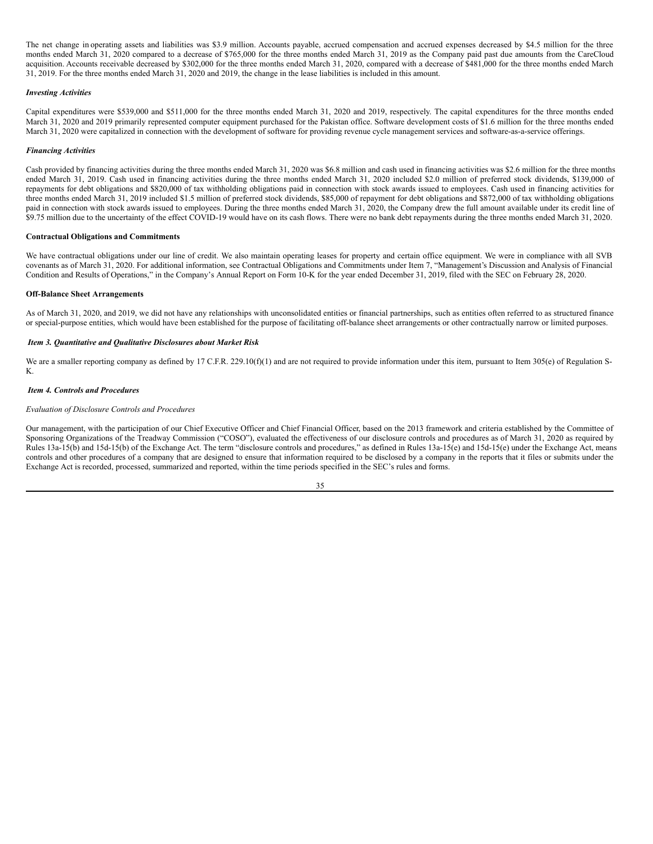The net change in operating assets and liabilities was \$3.9 million. Accounts payable, accrued compensation and accrued expenses decreased by \$4.5 million for the three months ended March 31, 2020 compared to a decrease of \$765,000 for the three months ended March 31, 2019 as the Company paid past due amounts from the CareCloud acquisition. Accounts receivable decreased by \$302,000 for the three months ended March 31, 2020, compared with a decrease of \$481,000 for the three months ended March 31, 2019. For the three months ended March 31, 2020 and 2019, the change in the lease liabilities is included in this amount.

### *Investing Activities*

Capital expenditures were \$539,000 and \$511,000 for the three months ended March 31, 2020 and 2019, respectively. The capital expenditures for the three months ended March 31, 2020 and 2019 primarily represented computer equipment purchased for the Pakistan office. Software development costs of \$1.6 million for the three months ended March 31, 2020 were capitalized in connection with the development of software for providing revenue cycle management services and software-as-a-service offerings.

#### *Financing Activities*

Cash provided by financing activities during the three months ended March 31, 2020 was \$6.8 million and cash used in financing activities was \$2.6 million for the three months ended March 31, 2019. Cash used in financing activities during the three months ended March 31, 2020 included \$2.0 million of preferred stock dividends, \$139,000 of repayments for debt obligations and \$820,000 of tax withholding obligations paid in connection with stock awards issued to employees. Cash used in financing activities for three months ended March 31, 2019 included \$1.5 million of preferred stock dividends, \$85,000 of repayment for debt obligations and \$872,000 of tax withholding obligations paid in connection with stock awards issued to employees. During the three months ended March 31, 2020, the Company drew the full amount available under its credit line of \$9.75 million due to the uncertainty of the effect COVID-19 would have on its cash flows. There were no bank debt repayments during the three months ended March 31, 2020.

### **Contractual Obligations and Commitments**

We have contractual obligations under our line of credit. We also maintain operating leases for property and certain office equipment. We were in compliance with all SVB covenants as of March 31, 2020. For additional information, see Contractual Obligations and Commitments under Item 7, "Management's Discussion and Analysis of Financial Condition and Results of Operations," in the Company's Annual Report on Form 10-K for the year ended December 31, 2019, filed with the SEC on February 28, 2020.

#### **Off-Balance Sheet Arrangements**

As of March 31, 2020, and 2019, we did not have any relationships with unconsolidated entities or financial partnerships, such as entities often referred to as structured finance or special-purpose entities, which would have been established for the purpose of facilitating off-balance sheet arrangements or other contractually narrow or limited purposes.

#### <span id="page-35-0"></span>*Item 3. Quantitative and Qualitative Disclosures about Market Risk*

We are a smaller reporting company as defined by 17 C.F.R. 229.10(f)(1) and are not required to provide information under this item, pursuant to Item 305(e) of Regulation S-K.

#### <span id="page-35-1"></span>*Item 4. Controls and Procedures*

#### *Evaluation of Disclosure Controls and Procedures*

Our management, with the participation of our Chief Executive Officer and Chief Financial Officer, based on the 2013 framework and criteria established by the Committee of Sponsoring Organizations of the Treadway Commission ("COSO"), evaluated the effectiveness of our disclosure controls and procedures as of March 31, 2020 as required by Rules 13a-15(b) and 15d-15(b) of the Exchange Act. The term "disclosure controls and procedures," as defined in Rules 13a-15(e) and 15d-15(e) under the Exchange Act, means controls and other procedures of a company that are designed to ensure that information required to be disclosed by a company in the reports that it files or submits under the Exchange Act is recorded, processed, summarized and reported, within the time periods specified in the SEC's rules and forms.

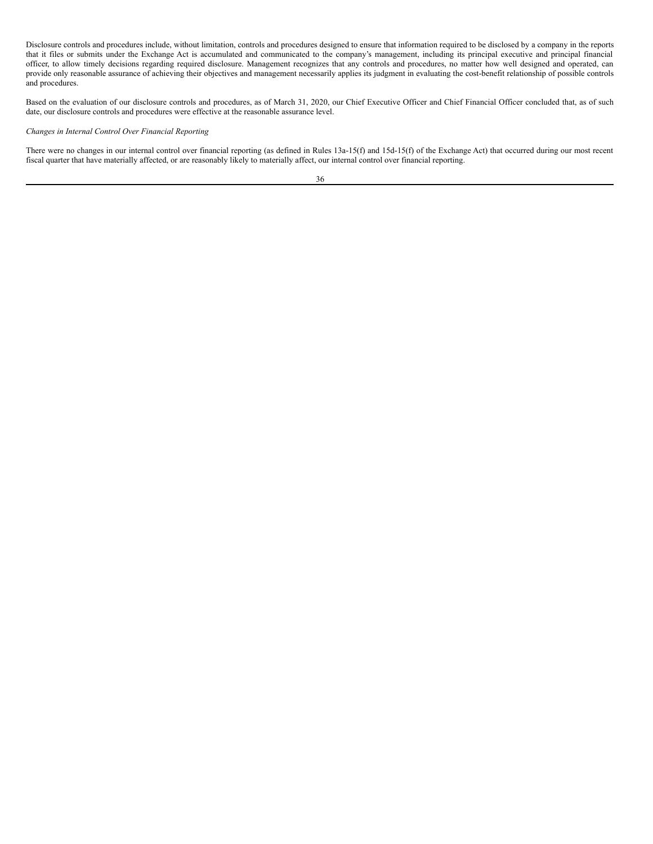Disclosure controls and procedures include, without limitation, controls and procedures designed to ensure that information required to be disclosed by a company in the reports that it files or submits under the Exchange Act is accumulated and communicated to the company's management, including its principal executive and principal financial officer, to allow timely decisions regarding required disclosure. Management recognizes that any controls and procedures, no matter how well designed and operated, can provide only reasonable assurance of achieving their objectives and management necessarily applies its judgment in evaluating the cost-benefit relationship of possible controls and procedures.

Based on the evaluation of our disclosure controls and procedures, as of March 31, 2020, our Chief Executive Officer and Chief Financial Officer concluded that, as of such date, our disclosure controls and procedures were effective at the reasonable assurance level.

### *Changes in Internal Control Over Financial Reporting*

There were no changes in our internal control over financial reporting (as defined in Rules 13a-15(f) and 15d-15(f) of the Exchange Act) that occurred during our most recent fiscal quarter that have materially affected, or are reasonably likely to materially affect, our internal control over financial reporting.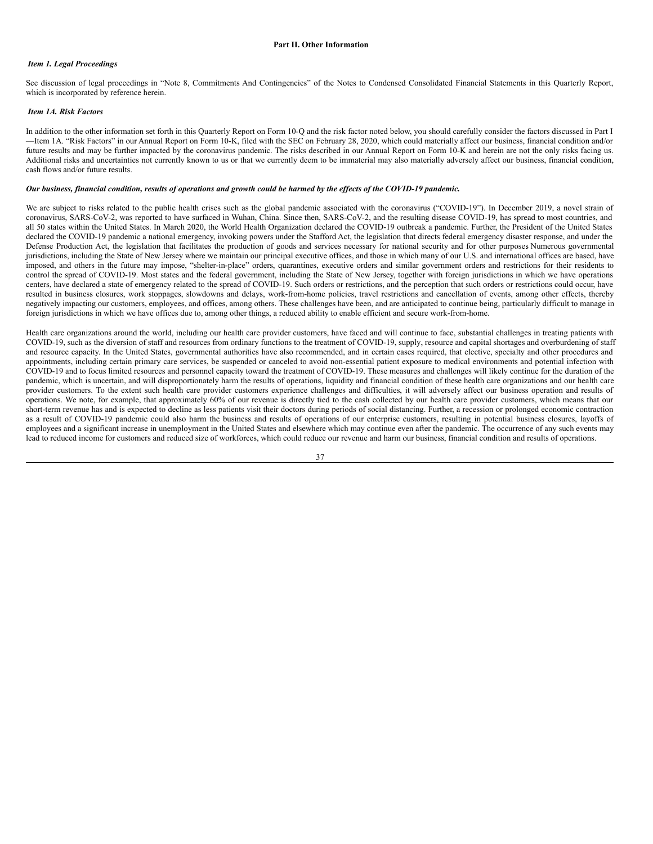### <span id="page-37-1"></span><span id="page-37-0"></span>*Item 1. Legal Proceedings*

See discussion of legal proceedings in "Note 8, Commitments And Contingencies" of the Notes to Condensed Consolidated Financial Statements in this Quarterly Report, which is incorporated by reference herein.

### <span id="page-37-2"></span>*Item 1A. Risk Factors*

In addition to the other information set forth in this Quarterly Report on Form 10-Q and the risk factor noted below, you should carefully consider the factors discussed in Part I —Item 1A. "Risk Factors" in our Annual Report on Form 10-K, filed with the SEC on February 28, 2020, which could materially affect our business, financial condition and/or future results and may be further impacted by the coronavirus pandemic. The risks described in our Annual Report on Form 10-K and herein are not the only risks facing us. Additional risks and uncertainties not currently known to us or that we currently deem to be immaterial may also materially adversely affect our business, financial condition, cash flows and/or future results.

### Our business, financial condition, results of operations and growth could be harmed by the effects of the COVID-19 pandemic.

We are subject to risks related to the public health crises such as the global pandemic associated with the coronavirus ("COVID-19"). In December 2019, a novel strain of coronavirus, SARS-CoV-2, was reported to have surfaced in Wuhan, China. Since then, SARS-CoV-2, and the resulting disease COVID-19, has spread to most countries, and all 50 states within the United States. In March 2020, the World Health Organization declared the COVID-19 outbreak a pandemic. Further, the President of the United States declared the COVID-19 pandemic a national emergency, invoking powers under the Stafford Act, the legislation that directs federal emergency disaster response, and under the Defense Production Act, the legislation that facilitates the production of goods and services necessary for national security and for other purposes. Numerous governmental jurisdictions, including the State of New Jersey where we maintain our principal executive offices, and those in which many of our U.S. and international offices are based, have imposed, and others in the future may impose, "shelter-in-place" orders, quarantines, executive orders and similar government orders and restrictions for their residents to control the spread of COVID-19. Most states and the federal government, including the State of New Jersey, together with foreign jurisdictions in which we have operations centers, have declared a state of emergency related to the spread of COVID-19. Such orders or restrictions, and the perception that such orders or restrictions could occur, have resulted in business closures, work stoppages, slowdowns and delays, work-from-home policies, travel restrictions and cancellation of events, among other effects, thereby negatively impacting our customers, employees, and offices, among others. These challenges have been, and are anticipated to continue being, particularly difficult to manage in foreign jurisdictions in which we have offices due to, among other things, a reduced ability to enable efficient and secure work-from-home.

Health care organizations around the world, including our health care provider customers, have faced and will continue to face, substantial challenges in treating patients with COVID-19, such as the diversion of staff and resources from ordinary functions to the treatment of COVID-19, supply, resource and capital shortages and overburdening of staff and resource capacity. In the United States, governmental authorities have also recommended, and in certain cases required, that elective, specialty and other procedures and appointments, including certain primary care services, be suspended or canceled to avoid non-essential patient exposure to medical environments and potential infection with COVID-19 and to focus limited resources and personnel capacity toward the treatment of COVID-19. These measures and challenges will likely continue for the duration of the pandemic, which is uncertain, and will disproportionately harm the results of operations, liquidity and financial condition of these health care organizations and our health care provider customers. To the extent such health care provider customers experience challenges and difficulties, it will adversely affect our business operation and results of operations. We note, for example, that approximately 60% of our revenue is directly tied to the cash collected by our health care provider customers, which means that our short-term revenue has and is expected to decline as less patients visit their doctors during periods of social distancing. Further, a recession or prolonged economic contraction as a result of COVID-19 pandemic could also harm the business and results of operations of our enterprise customers, resulting in potential business closures, layoffs of employees and a significant increase in unemployment in the United States and elsewhere which may continue even after the pandemic. The occurrence of any such events may lead to reduced income for customers and reduced size of workforces, which could reduce our revenue and harm our business, financial condition and results of operations.

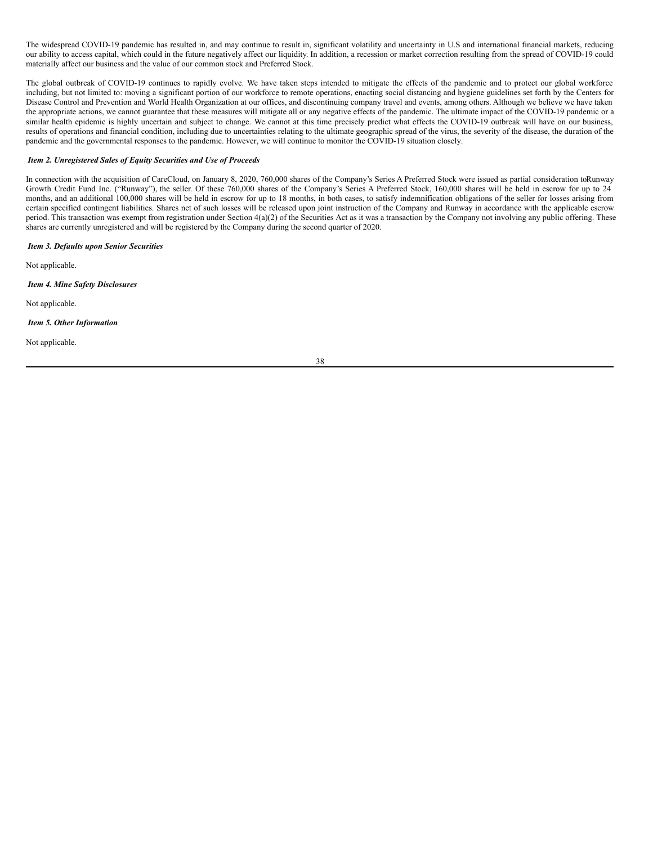The widespread COVID-19 pandemic has resulted in, and may continue to result in, significant volatility and uncertainty in U.S and international financial markets, reducing our ability to access capital, which could in the future negatively affect our liquidity. In addition, a recession or market correction resulting from the spread of COVID-19 could materially affect our business and the value of our common stock and Preferred Stock.

The global outbreak of COVID-19 continues to rapidly evolve. We have taken steps intended to mitigate the effects of the pandemic and to protect our global workforce including, but not limited to: moving a significant portion of our workforce to remote operations, enacting social distancing and hygiene guidelines set forth by the Centers for Disease Control and Prevention and World Health Organization at our offices, and discontinuing company travel and events, among others. Although we believe we have taken the appropriate actions, we cannot guarantee that these measures will mitigate all or any negative effects of the pandemic. The ultimate impact of the COVID-19 pandemic or a similar health epidemic is highly uncertain and subject to change. We cannot at this time precisely predict what effects the COVID-19 outbreak will have on our business, results of operations and financial condition, including due to uncertainties relating to the ultimate geographic spread of the virus, the severity of the disease, the duration of the pandemic and the governmental responses to the pandemic. However, we will continue to monitor the COVID-19 situation closely.

### <span id="page-38-0"></span>*Item 2. Unregistered Sales of Equity Securities and Use of Proceeds*

In connection with the acquisition of CareCloud, on January 8, 2020, 760,000 shares of the Company's Series A Preferred Stock were issued as partial consideration toRunway Growth Credit Fund Inc. ("Runway"), the seller. Of these 760,000 shares of the Company's Series A Preferred Stock, 160,000 shares will be held in escrow for up to 24 months, and an additional 100,000 shares will be held in escrow for up to 18 months, in both cases, to satisfy indemnification obligations of the seller for losses arising from certain specified contingent liabilities. Shares net of such losses will be released upon joint instruction of the Company and Runway in accordance with the applicable escrow period. This transaction was exempt from registration under Section 4(a)(2) of the Securities Act as it was a transaction by the Company not involving any public offering. These shares are currently unregistered and will be registered by the Company during the second quarter of 2020.

#### <span id="page-38-1"></span>*Item 3. Defaults upon Senior Securities*

Not applicable.

<span id="page-38-2"></span>*Item 4. Mine Safety Disclosures*

Not applicable.

### <span id="page-38-3"></span>*Item 5. Other Information*

Not applicable.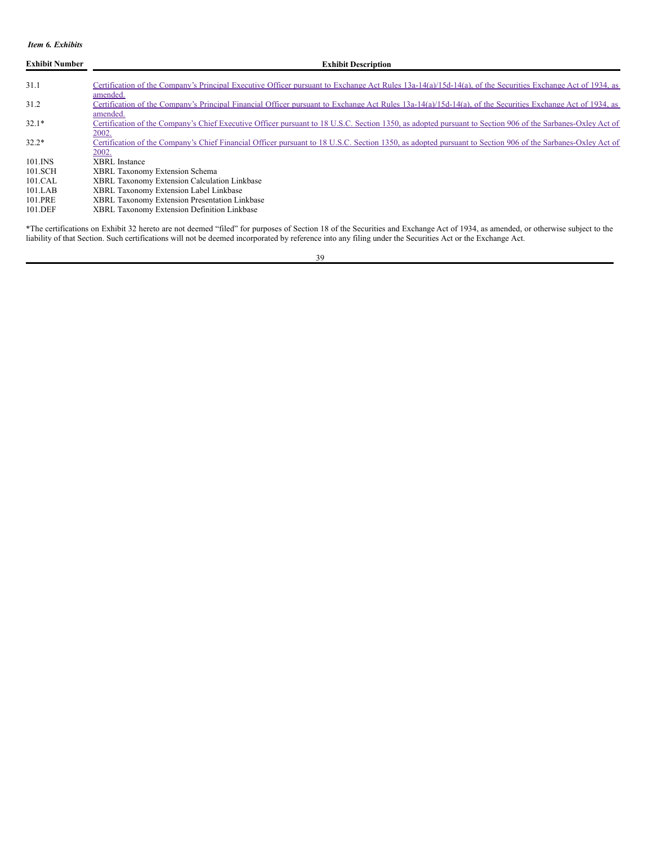### <span id="page-39-0"></span>*Item 6. Exhibits*

| <b>Exhibit Number</b> | <b>Exhibit Description</b>                                                                                                                                                      |
|-----------------------|---------------------------------------------------------------------------------------------------------------------------------------------------------------------------------|
| 31.1                  | Certification of the Company's Principal Executive Officer pursuant to Exchange Act Rules 13a-14(a)/15d-14(a), of the Securities Exchange Act of 1934, as<br>amended.           |
| 31.2                  | Certification of the Company's Principal Financial Officer pursuant to Exchange Act Rules 13a-14(a)/15d-14(a), of the Securities Exchange Act of 1934, as                       |
| $32.1*$               | amended.<br>Certification of the Company's Chief Executive Officer pursuant to 18 U.S.C. Section 1350, as adopted pursuant to Section 906 of the Sarbanes-Oxley Act of<br>2002. |
| $32.2*$               | Certification of the Company's Chief Financial Officer pursuant to 18 U.S.C. Section 1350, as adopted pursuant to Section 906 of the Sarbanes-Oxley Act of<br>2002.             |
| 101.INS               | <b>XBRL</b> Instance                                                                                                                                                            |
| 101.SCH               | <b>XBRL Taxonomy Extension Schema</b>                                                                                                                                           |
| 101.CAL               | <b>XBRL Taxonomy Extension Calculation Linkbase</b>                                                                                                                             |
| 101.LAB               | XBRL Taxonomy Extension Label Linkbase                                                                                                                                          |
| 101.PRE               | XBRL Taxonomy Extension Presentation Linkbase                                                                                                                                   |
| 101.DEF               | XBRL Taxonomy Extension Definition Linkbase                                                                                                                                     |

\*The certifications on Exhibit 32 hereto are not deemed "filed" for purposes of Section 18 of the Securities and Exchange Act of 1934, as amended, or otherwise subject to the liability of that Section. Such certifications will not be deemed incorporated by reference into any filing under the Securities Act or the Exchange Act.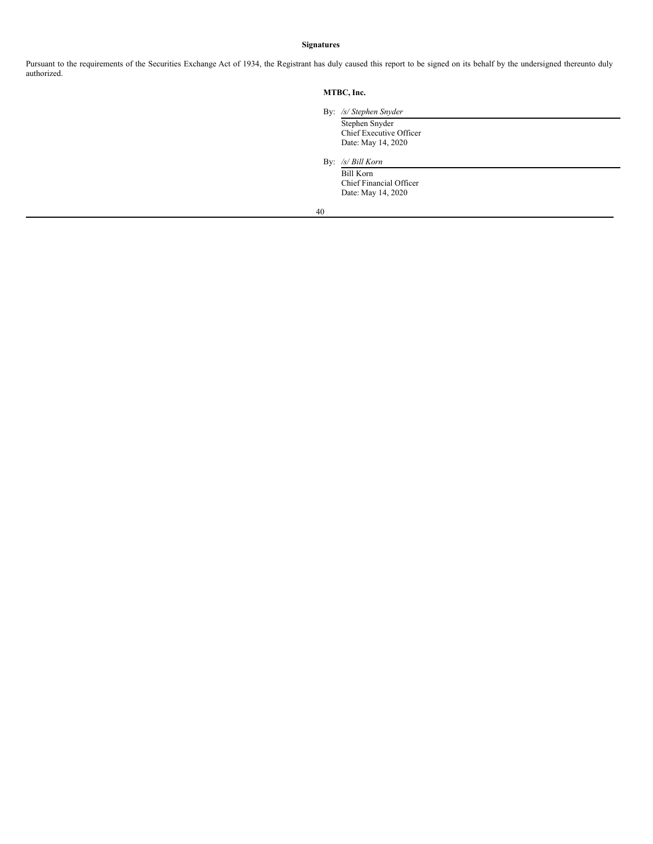### <span id="page-40-0"></span>**Signatures**

Pursuant to the requirements of the Securities Exchange Act of 1934, the Registrant has duly caused this report to be signed on its behalf by the undersigned thereunto duly authorized.

### **MTBC, Inc.**

#### By: */s/ Stephen Snyder*

Stephen Snyder Chief Executive Officer Date: May 14, 2020

## By: */s/ Bill Korn*

Bill Korn Chief Financial Officer Date: May 14, 2020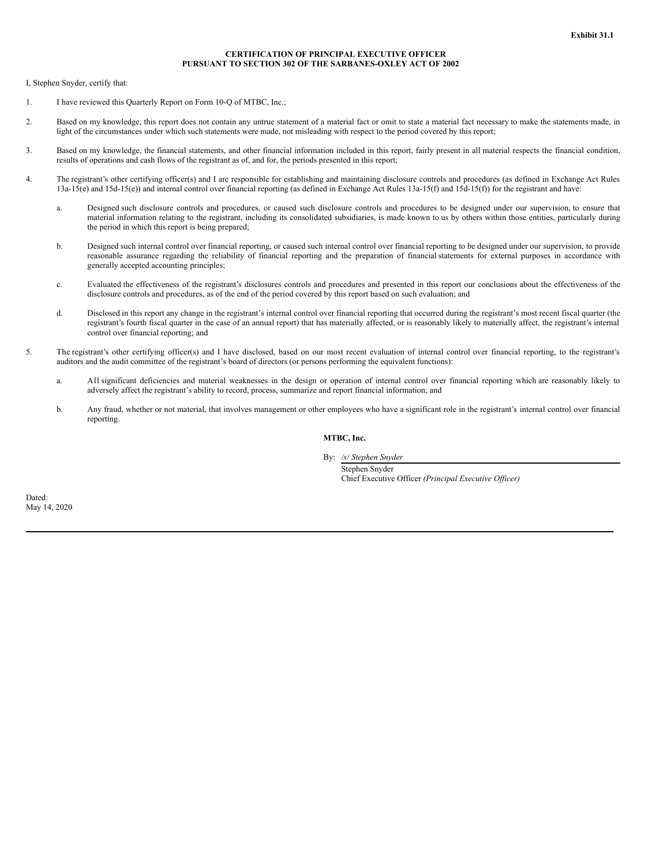### **CERTIFICATION OF PRINCIPAL EXECUTIVE OFFICER PURSUANT TO SECTION 302 OF THE SARBANES-OXLEY ACT OF 2002**

<span id="page-41-0"></span>I, Stephen Snyder, certify that:

- 1. I have reviewed this Quarterly Report on Form 10-Q of MTBC, Inc.;
- 2. Based on my knowledge, this report does not contain any untrue statement of a material fact or omit to state a material fact necessary to make the statements made, in light of the circumstances under which such statements were made, not misleading with respect to the period covered by this report;
- 3. Based on my knowledge, the financial statements, and other financial information included in this report, fairly present in all material respects the financial condition, results of operations and cash flows of the registrant as of, and for, the periods presented in this report;
- 4. The registrant's other certifying officer(s) and I are responsible for establishing and maintaining disclosure controls and procedures (as defined in Exchange Act Rules 13a-15(e) and 15d-15(e)) and internal control over financial reporting (as defined in Exchange Act Rules 13a-15(f) and 15d-15(f)) for the registrant and have:
	- a. Designed such disclosure controls and procedures, or caused such disclosure controls and procedures to be designed under our supervision, to ensure that material information relating to the registrant, including its consolidated subsidiaries, is made known to us by others within those entities, particularly during the period in which this report is being prepared;
	- b. Designed such internal control over financial reporting, or caused such internal control over financial reporting to be designed under our supervision, to provide reasonable assurance regarding the reliability of financial reporting and the preparation of financial statements for external purposes in accordance with generally accepted accounting principles;
	- c. Evaluated the effectiveness of the registrant's disclosures controls and procedures and presented in this report our conclusions about the effectiveness of the disclosure controls and procedures, as of the end of the period covered by this report based on such evaluation; and
	- d. Disclosed in this report any change in the registrant's internal control over financial reporting that occurred during the registrant's most recent fiscal quarter (the registrant's fourth fiscal quarter in the case of an annual report) that has materially affected, or is reasonably likely to materially affect, the registrant's internal control over financial reporting; and
- 5. The registrant's other certifying officer(s) and I have disclosed, based on our most recent evaluation of internal control over financial reporting, to the registrant's auditors and the audit committee of the registrant's board of directors (or persons performing the equivalent functions):
	- a. All significant deficiencies and material weaknesses in the design or operation of internal control over financial reporting which are reasonably likely to adversely affect the registrant's ability to record, process, summarize and report financial information; and
	- b. Any fraud, whether or not material, that involves management or other employees who have a significant role in the registrant's internal control over financial reporting.

**MTBC, Inc.**

By: */s/ Stephen Snyder*

Stephen Snyder Chief Executive Officer *(Principal Executive Of icer)*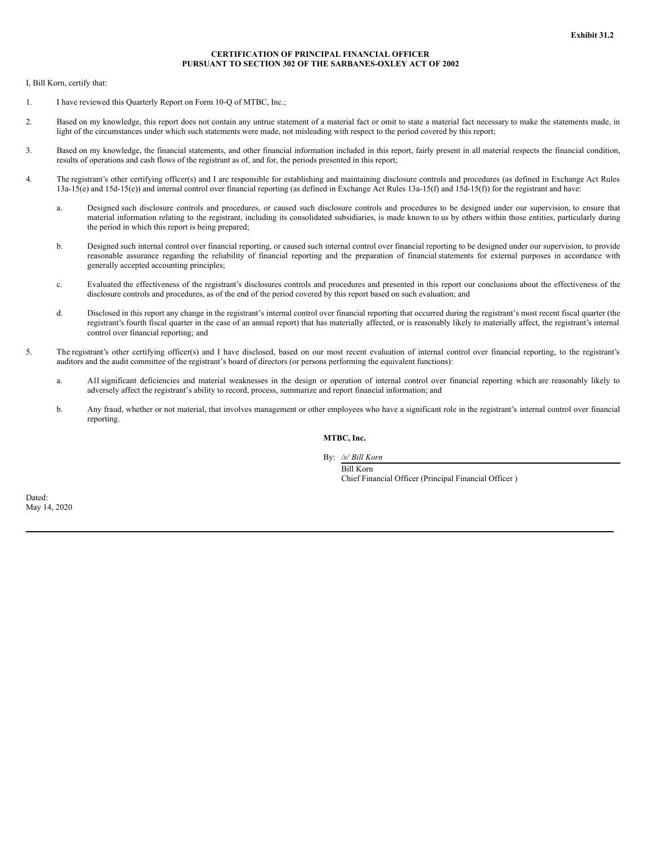### **CERTIFICATION OF PRINCIPAL FINANCIAL OFFICER PURSUANT TO SECTION 302 OF THE SARBANES-OXLEY ACT OF 2002**

<span id="page-42-0"></span>I, Bill Korn, certify that:

- 1. I have reviewed this Quarterly Report on Form 10-Q of MTBC, Inc.;
- 2. Based on my knowledge, this report does not contain any untrue statement of a material fact or omit to state a material fact necessary to make the statements made, in light of the circumstances under which such statements were made, not misleading with respect to the period covered by this report;
- 3. Based on my knowledge, the financial statements, and other financial information included in this report, fairly present in all material respects the financial condition, results of operations and cash flows of the registrant as of, and for, the periods presented in this report;
- 4. The registrant's other certifying officer(s) and I are responsible for establishing and maintaining disclosure controls and procedures (as defined in Exchange Act Rules 13a-15(e) and 15d-15(e)) and internal control over financial reporting (as defined in Exchange Act Rules 13a-15(f) and 15d-15(f)) for the registrant and have:
	- a. Designed such disclosure controls and procedures, or caused such disclosure controls and procedures to be designed under our supervision, to ensure that material information relating to the registrant, including its consolidated subsidiaries, is made known to us by others within those entities, particularly during the period in which this report is being prepared;
	- b. Designed such internal control over financial reporting, or caused such internal control over financial reporting to be designed under our supervision, to provide reasonable assurance regarding the reliability of financial reporting and the preparation of financial statements for external purposes in accordance with generally accepted accounting principles;
	- c. Evaluated the effectiveness of the registrant's disclosures controls and procedures and presented in this report our conclusions about the effectiveness of the disclosure controls and procedures, as of the end of the period covered by this report based on such evaluation; and
	- d. Disclosed in this report any change in the registrant's internal control over financial reporting that occurred during the registrant's most recent fiscal quarter (the registrant's fourth fiscal quarter in the case of an annual report) that has materially affected, or is reasonably likely to materially affect, the registrant's internal control over financial reporting; and
- 5. The registrant's other certifying officer(s) and I have disclosed, based on our most recent evaluation of internal control over financial reporting, to the registrant's auditors and the audit committee of the registrant's board of directors (or persons performing the equivalent functions):
	- a. All significant deficiencies and material weaknesses in the design or operation of internal control over financial reporting which are reasonably likely to adversely affect the registrant's ability to record, process, summarize and report financial information; and
	- b. Any fraud, whether or not material, that involves management or other employees who have a significant role in the registrant's internal control over financial reporting.

**MTBC, Inc.**

By: */s/ Bill Korn*

Bill Korn Chief Financial Officer (Principal Financial Officer )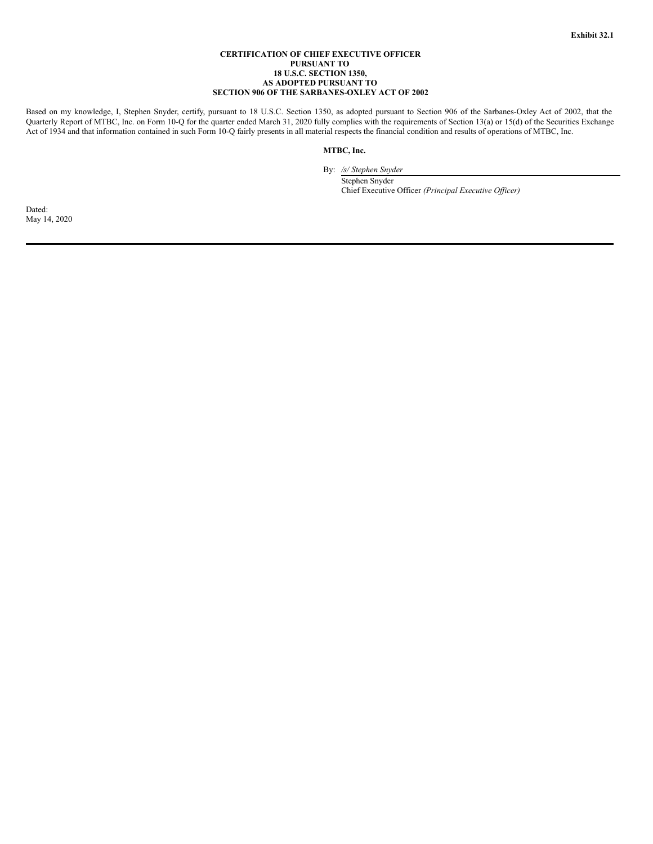### **CERTIFICATION OF CHIEF EXECUTIVE OFFICER PURSUANT TO 18 U.S.C. SECTION 1350, AS ADOPTED PURSUANT TO SECTION 906 OF THE SARBANES-OXLEY ACT OF 2002**

<span id="page-43-0"></span>Based on my knowledge, I, Stephen Snyder, certify, pursuant to 18 U.S.C. Section 1350, as adopted pursuant to Section 906 of the Sarbanes-Oxley Act of 2002, that the Quarterly Report of MTBC, Inc. on Form 10-Q for the quarter ended March 31, 2020 fully complies with the requirements of Section 13(a) or 15(d) of the Securities Exchange Act of 1934 and that information contained in such Form 10-Q fairly presents in all material respects the financial condition and results of operations of MTBC, Inc.

### **MTBC, Inc.**

By: */s/ Stephen Snyder*

Stephen Snyder Chief Executive Officer *(Principal Executive Of icer)*